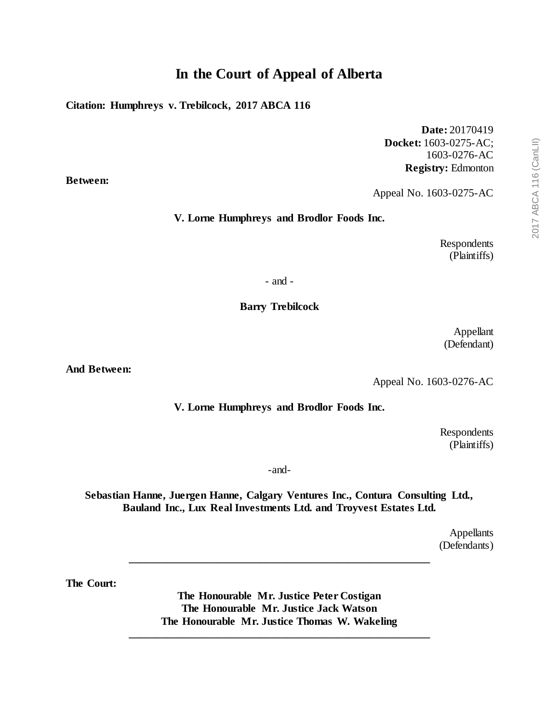# **In the Court of Appeal of Alberta**

## **Citation: Humphreys v. Trebilcock, 2017 ABCA 116**

**Date:** 20170419 **Docket:** 1603-0275-AC; 1603-0276-AC **Registry:** Edmonton

Appeal No. 1603-0275-AC

#### **V. Lorne Humphreys and Brodlor Foods Inc.**

Respondents (Plaintiffs)

- and -

#### **Barry Trebilcock**

Appellant (Defendant)

Appeal No. 1603-0276-AC

#### **V. Lorne Humphreys and Brodlor Foods Inc.**

Respondents (Plaintiffs)

-and-

#### **Sebastian Hanne, Juergen Hanne, Calgary Ventures Inc., Contura Consulting Ltd., Bauland Inc., Lux Real Investments Ltd. and Troyvest Estates Ltd.**

Appellants (Defendants)

**The Court:**

**The Honourable Mr. Justice Peter Costigan The Honourable Mr. Justice Jack Watson The Honourable Mr. Justice Thomas W. Wakeling**

**\_\_\_\_\_\_\_\_\_\_\_\_\_\_\_\_\_\_\_\_\_\_\_\_\_\_\_\_\_\_\_\_\_\_\_\_\_\_\_\_\_\_\_\_\_\_\_\_\_\_\_\_\_\_\_**

**\_\_\_\_\_\_\_\_\_\_\_\_\_\_\_\_\_\_\_\_\_\_\_\_\_\_\_\_\_\_\_\_\_\_\_\_\_\_\_\_\_\_\_\_\_\_\_\_\_\_\_\_\_\_\_**

**And Between:**

**Between:**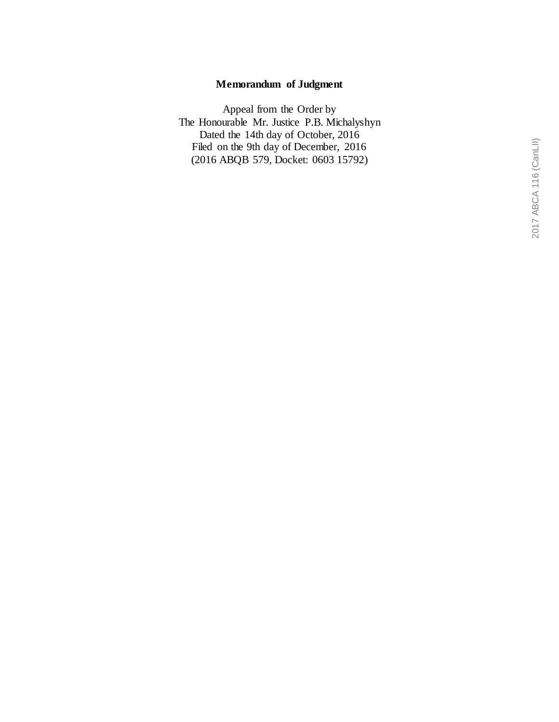## **Memorandum of Judgment**

Appeal from the Order by The Honourable Mr. Justice P.B. Michalyshyn Dated the 14th day of October, 2016 Filed on the 9th day of December, 2016 (2016 ABQB 579, Docket: 0603 15792)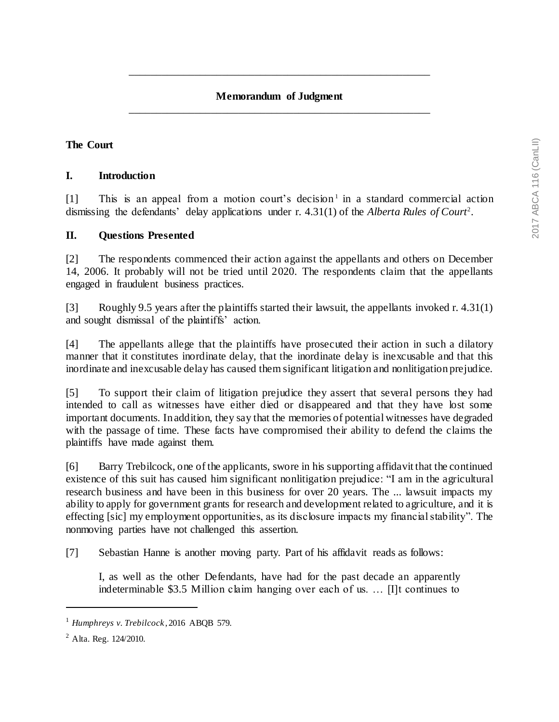## **Memorandum of Judgment** \_\_\_\_\_\_\_\_\_\_\_\_\_\_\_\_\_\_\_\_\_\_\_\_\_\_\_\_\_\_\_\_\_\_\_\_\_\_\_\_\_\_\_\_\_\_\_\_\_\_\_\_\_\_\_

\_\_\_\_\_\_\_\_\_\_\_\_\_\_\_\_\_\_\_\_\_\_\_\_\_\_\_\_\_\_\_\_\_\_\_\_\_\_\_\_\_\_\_\_\_\_\_\_\_\_\_\_\_\_\_

#### **The Court**

## **I. Introduction**

[1] This is an appeal from a motion court's decision<sup>1</sup> in a standard commercial action dismissing the defendants' delay applications under r. 4.31(1) of the *Alberta Rules of Court*<sup>2</sup> .

## **II. Questions Presented**

[2] The respondents commenced their action against the appellants and others on December 14, 2006. It probably will not be tried until 2020. The respondents claim that the appellants engaged in fraudulent business practices.

[3] Roughly 9.5 years after the plaintiffs started their lawsuit, the appellants invoked r. 4.31(1) and sought dismissal of the plaintiffs' action.

[4] The appellants allege that the plaintiffs have prosecuted their action in such a dilatory manner that it constitutes inordinate delay, that the inordinate delay is inexcusable and that this inordinate and inexcusable delay has caused them significant litigation and nonlitigation prejudice.

[5] To support their claim of litigation prejudice they assert that several persons they had intended to call as witnesses have either died or disappeared and that they have lost some important documents. In addition, they say that the memories of potential witnesses have degraded with the passage of time. These facts have compromised their ability to defend the claims the plaintiffs have made against them.

[6] Barry Trebilcock, one of the applicants, swore in his supporting affidavit that the continued existence of this suit has caused him significant nonlitigation prejudice: "I am in the agricultural research business and have been in this business for over 20 years. The ... lawsuit impacts my ability to apply for government grants for research and development related to agriculture, and it is effecting [sic] my employment opportunities, as its disclosure impacts my financial stability". The nonmoving parties have not challenged this assertion.

[7] Sebastian Hanne is another moving party. Part of his affidavit reads as follows:

I, as well as the other Defendants, have had for the past decade an apparently indeterminable \$3.5 Million claim hanging over each of us. … [I]t continues to

l

<sup>1</sup> *Humphreys v. Trebilcock* , 2016 ABQB 579.

<sup>2</sup> Alta. Reg. 124/2010.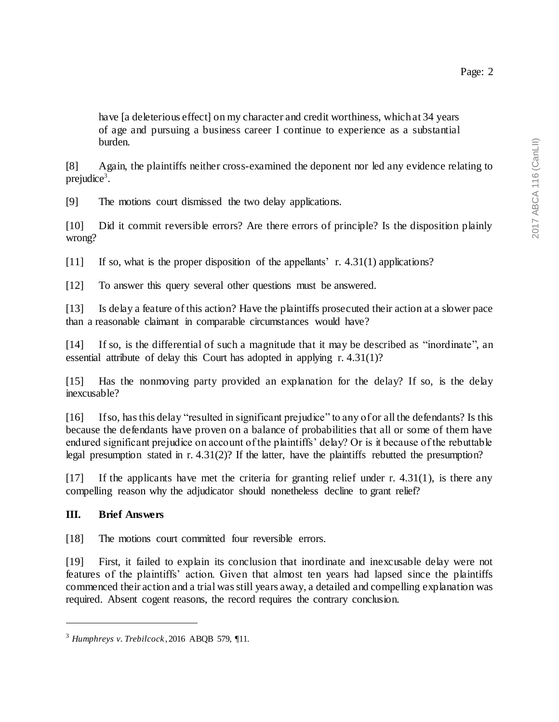have [a deleterious effect] on my character and credit worthiness, which at 34 years of age and pursuing a business career I continue to experience as a substantial burden.

[8] Again, the plaintiffs neither cross-examined the deponent nor led any evidence relating to prejudice<sup>3</sup>.

[9] The motions court dismissed the two delay applications.

[10] Did it commit reversible errors? Are there errors of principle? Is the disposition plainly wrong?

[11] If so, what is the proper disposition of the appellants' r. 4.31(1) applications?

[12] To answer this query several other questions must be answered.

[13] Is delay a feature of this action? Have the plaintiffs prosecuted their action at a slower pace than a reasonable claimant in comparable circumstances would have?

[14] If so, is the differential of such a magnitude that it may be described as "inordinate", an essential attribute of delay this Court has adopted in applying r. 4.31(1)?

[15] Has the nonmoving party provided an explanation for the delay? If so, is the delay inexcusable?

[16] If so, has this delay "resulted in significant prejudice" to any of or all the defendants? Is this because the defendants have proven on a balance of probabilities that all or some of them have endured significant prejudice on account of the plaintiffs' delay? Or is it because of the rebuttable legal presumption stated in r. 4.31(2)? If the latter, have the plaintiffs rebutted the presumption?

[17] If the applicants have met the criteria for granting relief under r. 4.31(1), is there any compelling reason why the adjudicator should nonetheless decline to grant relief?

## **III. Brief Answers**

l

[18] The motions court committed four reversible errors.

[19] First, it failed to explain its conclusion that inordinate and inexcusable delay were not features of the plaintiffs' action. Given that almost ten years had lapsed since the plaintiffs commenced their action and a trial was still years away, a detailed and compelling explanation was required. Absent cogent reasons, the record requires the contrary conclusion.

<sup>3</sup> *Humphreys v. Trebilcock* , 2016 ABQB 579, ¶11.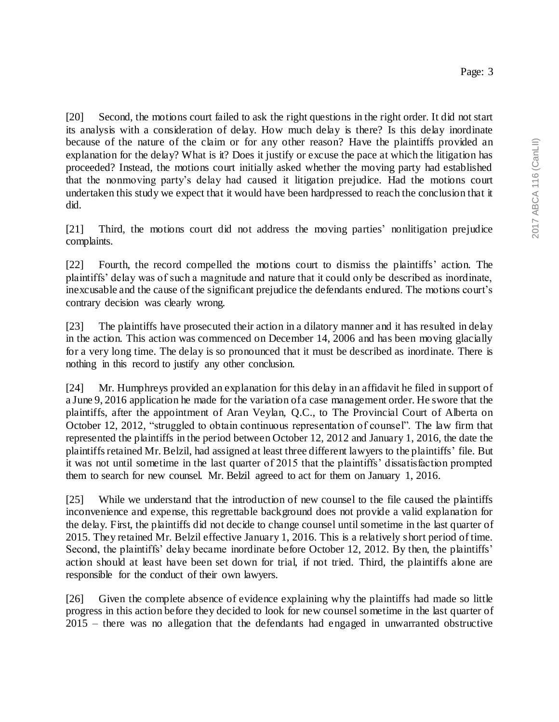[20] Second, the motions court failed to ask the right questions in the right order. It did not start its analysis with a consideration of delay. How much delay is there? Is this delay inordinate because of the nature of the claim or for any other reason? Have the plaintiffs provided an explanation for the delay? What is it? Does it justify or excuse the pace at which the litigation has proceeded? Instead, the motions court initially asked whether the moving party had established that the nonmoving party's delay had caused it litigation prejudice. Had the motions court undertaken this study we expect that it would have been hardpressed to reach the conclusion that it did.

[21] Third, the motions court did not address the moving parties' nonlitigation prejudice complaints.

[22] Fourth, the record compelled the motions court to dismiss the plaintiffs' action. The plaintiffs' delay was of such a magnitude and nature that it could only be described as inordinate, inexcusable and the cause of the significant prejudice the defendants endured. The motions court's contrary decision was clearly wrong.

[23] The plaintiffs have prosecuted their action in a dilatory manner and it has resulted in delay in the action. This action was commenced on December 14, 2006 and has been moving glacially for a very long time. The delay is so pronounced that it must be described as inordinate. There is nothing in this record to justify any other conclusion.

[24] Mr. Humphreys provided an explanation for this delay in an affidavit he filed in support of a June 9, 2016 application he made for the variation of a case management order. He swore that the plaintiffs, after the appointment of Aran Veylan, Q.C., to The Provincial Court of Alberta on October 12, 2012, "struggled to obtain continuous representation of counsel". The law firm that represented the plaintiffs in the period between October 12, 2012 and January 1, 2016, the date the plaintiffs retained Mr. Belzil, had assigned at least three different lawyers to the plaintiffs' file. But it was not until sometime in the last quarter of 2015 that the plaintiffs' dissatisfaction prompted them to search for new counsel. Mr. Belzil agreed to act for them on January 1, 2016.

[25] While we understand that the introduction of new counsel to the file caused the plaintiffs inconvenience and expense, this regrettable background does not provide a valid explanation for the delay. First, the plaintiffs did not decide to change counsel until sometime in the last quarter of 2015. They retained Mr. Belzil effective January 1, 2016. This is a relatively short period of time. Second, the plaintiffs' delay became inordinate before October 12, 2012. By then, the plaintiffs' action should at least have been set down for trial, if not tried. Third, the plaintiffs alone are responsible for the conduct of their own lawyers.

[26] Given the complete absence of evidence explaining why the plaintiffs had made so little progress in this action before they decided to look for new counsel sometime in the last quarter of 2015 – there was no allegation that the defendants had engaged in unwarranted obstructive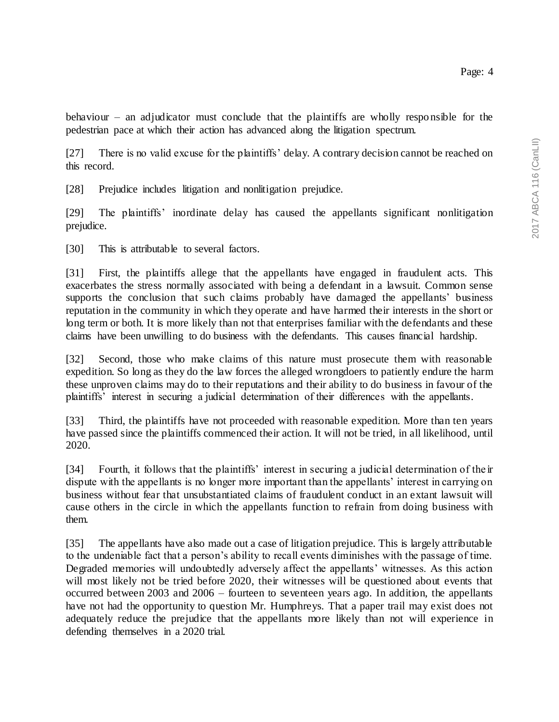behaviour – an adjudicator must conclude that the plaintiffs are wholly responsible for the pedestrian pace at which their action has advanced along the litigation spectrum.

[27] There is no valid excuse for the plaintiffs' delay. A contrary decision cannot be reached on this record.

[28] Prejudice includes litigation and nonlitigation prejudice.

[29] The plaintiffs' inordinate delay has caused the appellants significant nonlitigation prejudice.

[30] This is attributable to several factors.

[31] First, the plaintiffs allege that the appellants have engaged in fraudulent acts. This exacerbates the stress normally associated with being a defendant in a lawsuit. Common sense supports the conclusion that such claims probably have damaged the appellants' business reputation in the community in which they operate and have harmed their interests in the short or long term or both. It is more likely than not that enterprises familiar with the defendants and these claims have been unwilling to do business with the defendants. This causes financial hardship.

[32] Second, those who make claims of this nature must prosecute them with reasonable expedition. So long as they do the law forces the alleged wrongdoers to patiently endure the harm these unproven claims may do to their reputations and their ability to do business in favour of the plaintiffs' interest in securing a judicial determination of their differences with the appellants.

[33] Third, the plaintiffs have not proceeded with reasonable expedition. More than ten years have passed since the plaintiffs commenced their action. It will not be tried, in all likelihood, until 2020.

[34] Fourth, it follows that the plaintiffs' interest in securing a judicial determination of the ir dispute with the appellants is no longer more important than the appellants' interest in carrying on business without fear that unsubstantiated claims of fraudulent conduct in an extant lawsuit will cause others in the circle in which the appellants function to refrain from doing business with them.

[35] The appellants have also made out a case of litigation prejudice. This is largely attributable to the undeniable fact that a person's ability to recall events diminishes with the passage of time. Degraded memories will undoubtedly adversely affect the appellants' witnesses. As this action will most likely not be tried before 2020, their witnesses will be questioned about events that occurred between 2003 and 2006 – fourteen to seventeen years ago. In addition, the appellants have not had the opportunity to question Mr. Humphreys. That a paper trail may exist does not adequately reduce the prejudice that the appellants more likely than not will experience in defending themselves in a 2020 trial.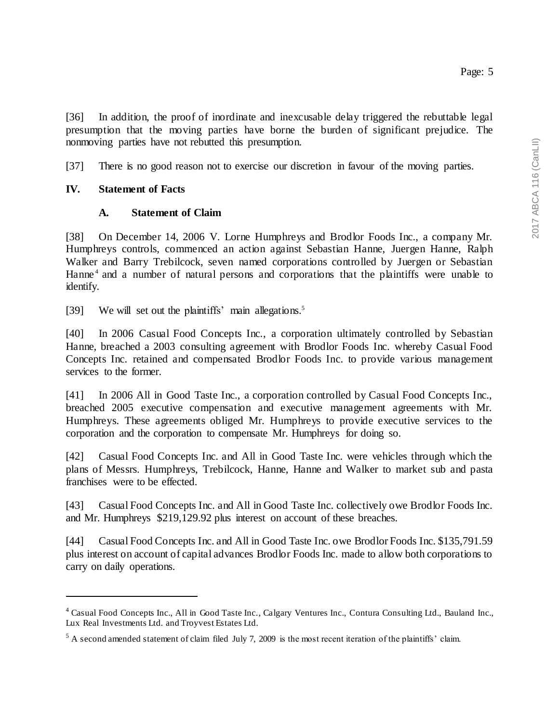[36] In addition, the proof of inordinate and inexcusable delay triggered the rebuttable legal presumption that the moving parties have borne the burden of significant prejudice. The nonmoving parties have not rebutted this presumption.

[37] There is no good reason not to exercise our discretion in favour of the moving parties.

## **IV. Statement of Facts**

l

#### **A. Statement of Claim**

[38] On December 14, 2006 V. Lorne Humphreys and Brodlor Foods Inc., a company Mr. Humphreys controls, commenced an action against Sebastian Hanne, Juergen Hanne, Ralph Walker and Barry Trebilcock, seven named corporations controlled by Juergen or Sebastian Hanne<sup>4</sup> and a number of natural persons and corporations that the plaintiffs were unable to identify.

[39] We will set out the plaintiffs' main allegations.<sup>5</sup>

[40] In 2006 Casual Food Concepts Inc., a corporation ultimately controlled by Sebastian Hanne, breached a 2003 consulting agreement with Brodlor Foods Inc. whereby Casual Food Concepts Inc. retained and compensated Brodlor Foods Inc. to provide various management services to the former.

[41] In 2006 All in Good Taste Inc., a corporation controlled by Casual Food Concepts Inc., breached 2005 executive compensation and executive management agreements with Mr. Humphreys. These agreements obliged Mr. Humphreys to provide executive services to the corporation and the corporation to compensate Mr. Humphreys for doing so.

[42] Casual Food Concepts Inc. and All in Good Taste Inc. were vehicles through which the plans of Messrs. Humphreys, Trebilcock, Hanne, Hanne and Walker to market sub and pasta franchises were to be effected.

[43] Casual Food Concepts Inc. and All in Good Taste Inc. collectively owe Brodlor Foods Inc. and Mr. Humphreys \$219,129.92 plus interest on account of these breaches.

[44] Casual Food Concepts Inc. and All in Good Taste Inc. owe Brodlor Foods Inc. \$135,791.59 plus interest on account of capital advances Brodlor Foods Inc. made to allow both corporations to carry on daily operations.

<sup>4</sup> Casual Food Concepts Inc., All in Good Taste Inc., Calgary Ventures Inc., Contura Consulting Ltd., Bauland Inc., Lux Real Investments Ltd. and Troyvest Estates Ltd.

<sup>&</sup>lt;sup>5</sup> A second amended statement of claim filed July 7, 2009 is the most recent iteration of the plaintiffs' claim.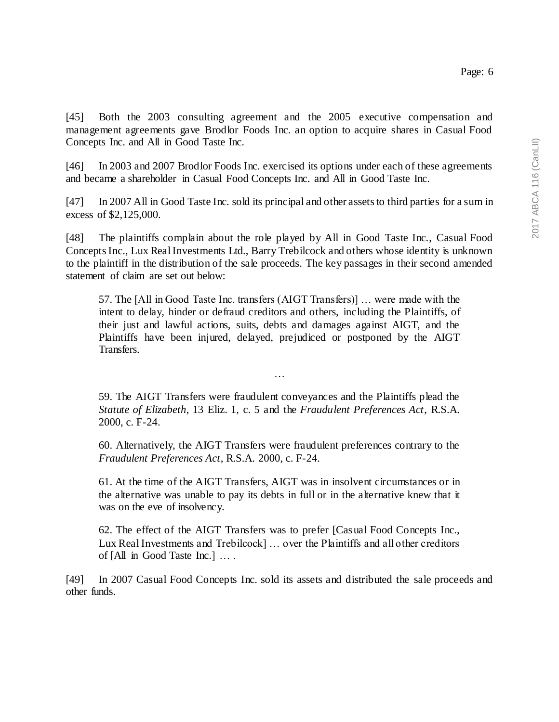[45] Both the 2003 consulting agreement and the 2005 executive compensation and management agreements gave Brodlor Foods Inc. an option to acquire shares in Casual Food Concepts Inc. and All in Good Taste Inc.

[46] In 2003 and 2007 Brodlor Foods Inc. exercised its options under each of these agreements and became a shareholder in Casual Food Concepts Inc. and All in Good Taste Inc.

[47] In 2007 All in Good Taste Inc. sold its principal and other assets to third parties for a sum in excess of \$2,125,000.

[48] The plaintiffs complain about the role played by All in Good Taste Inc., Casual Food Concepts Inc., Lux Real Investments Ltd., Barry Trebilcock and others whose identity is unknown to the plaintiff in the distribution of the sale proceeds. The key passages in their second amended statement of claim are set out below:

57. The [All in Good Taste Inc. transfers (AIGT Transfers)] … were made with the intent to delay, hinder or defraud creditors and others, including the Plaintiffs, of their just and lawful actions, suits, debts and damages against AIGT, and the Plaintiffs have been injured, delayed, prejudiced or postponed by the AIGT **Transfers** 

59. The AIGT Transfers were fraudulent conveyances and the Plaintiffs plead the *Statute of Elizabeth*, 13 Eliz. 1, c. 5 and the *Fraudulent Preferences Act*, R.S.A. 2000, c. F-24.

…

60. Alternatively, the AIGT Transfers were fraudulent preferences contrary to the *Fraudulent Preferences Act*, R.S.A. 2000, c. F-24.

61. At the time of the AIGT Transfers, AIGT was in insolvent circumstances or in the alternative was unable to pay its debts in full or in the alternative knew that it was on the eve of insolvency.

62. The effect of the AIGT Transfers was to prefer [Casual Food Concepts Inc., Lux Real Investments and Trebilcock] … over the Plaintiffs and all other creditors of [All in Good Taste Inc.] … .

[49] In 2007 Casual Food Concepts Inc. sold its assets and distributed the sale proceeds and other funds.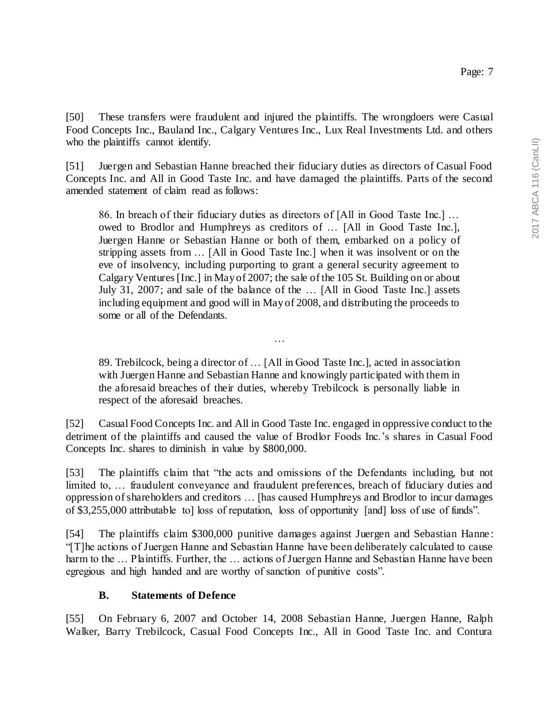[50] These transfers were fraudulent and injured the plaintiffs. The wrongdoers were Casual Food Concepts Inc., Bauland Inc., Calgary Ventures Inc., Lux Real Investments Ltd. and others who the plaintiffs cannot identify.

[51] Juergen and Sebastian Hanne breached their fiduciary duties as directors of Casual Food Concepts Inc. and All in Good Taste Inc. and have damaged the plaintiffs. Parts of the second amended statement of claim read as follows:

86. In breach of their fiduciary duties as directors of [All in Good Taste Inc.] … owed to Brodlor and Humphreys as creditors of … [All in Good Taste Inc.], Juergen Hanne or Sebastian Hanne or both of them, embarked on a policy of stripping assets from … [All in Good Taste Inc.] when it was insolvent or on the eve of insolvency, including purporting to grant a general security agreement to Calgary Ventures [Inc.] in May of 2007; the sale of the 105 St. Building on or about July 31, 2007; and sale of the balance of the … [All in Good Taste Inc.] assets including equipment and good will in May of 2008, and distributing the proceeds to some or all of the Defendants.

89. Trebilcock, being a director of … [All in Good Taste Inc.], acted in association with Juergen Hanne and Sebastian Hanne and knowingly participated with them in the aforesaid breaches of their duties, whereby Trebilcock is personally liable in respect of the aforesaid breaches.

…

[52] Casual Food Concepts Inc. and All in Good Taste Inc. engaged in oppressive conduct to the detriment of the plaintiffs and caused the value of Brodlor Foods Inc.'s shares in Casual Food Concepts Inc. shares to diminish in value by \$800,000.

[53] The plaintiffs claim that "the acts and omissions of the Defendants including, but not limited to, ... fraudulent conveyance and fraudulent preferences, breach of fiduciary duties and oppression of shareholders and creditors … [has caused Humphreys and Brodlor to incur damages of \$3,255,000 attributable to] loss of reputation, loss of opportunity [and] loss of use of funds".

[54] The plaintiffs claim \$300,000 punitive damages against Juergen and Sebastian Hanne : "[T]he actions of Juergen Hanne and Sebastian Hanne have been deliberately calculated to cause harm to the ... Plaintiffs. Further, the ... actions of Juergen Hanne and Sebastian Hanne have been egregious and high handed and are worthy of sanction of punitive costs".

## **B. Statements of Defence**

[55] On February 6, 2007 and October 14, 2008 Sebastian Hanne, Juergen Hanne, Ralph Walker, Barry Trebilcock, Casual Food Concepts Inc., All in Good Taste Inc. and Contura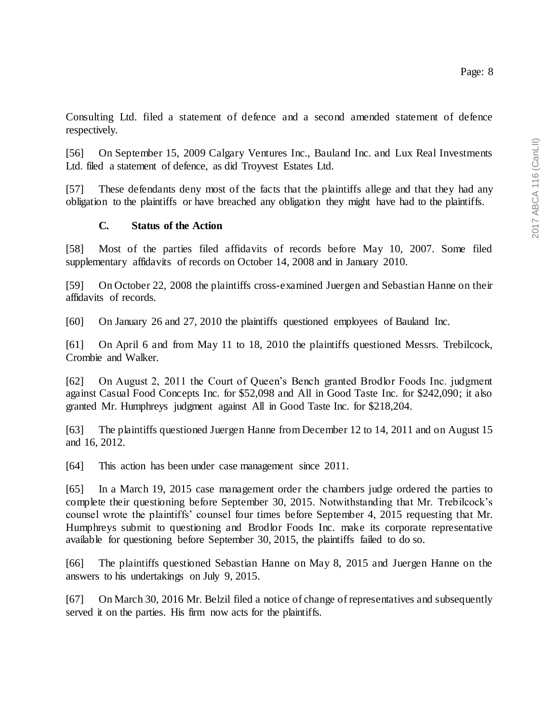Consulting Ltd. filed a statement of defence and a second amended statement of defence respectively.

[56] On September 15, 2009 Calgary Ventures Inc., Bauland Inc. and Lux Real Investments Ltd. filed a statement of defence, as did Troyvest Estates Ltd.

[57] These defendants deny most of the facts that the plaintiffs allege and that they had any obligation to the plaintiffs or have breached any obligation they might have had to the plaintiffs.

## **C. Status of the Action**

[58] Most of the parties filed affidavits of records before May 10, 2007. Some filed supplementary affidavits of records on October 14, 2008 and in January 2010.

[59] On October 22, 2008 the plaintiffs cross-examined Juergen and Sebastian Hanne on their affidavits of records.

[60] On January 26 and 27, 2010 the plaintiffs questioned employees of Bauland Inc.

[61] On April 6 and from May 11 to 18, 2010 the plaintiffs questioned Messrs. Trebilcock, Crombie and Walker.

[62] On August 2, 2011 the Court of Queen's Bench granted Brodlor Foods Inc. judgment against Casual Food Concepts Inc. for \$52,098 and All in Good Taste Inc. for \$242,090; it also granted Mr. Humphreys judgment against All in Good Taste Inc. for \$218,204.

[63] The plaintiffs questioned Juergen Hanne from December 12 to 14, 2011 and on August 15 and 16, 2012.

[64] This action has been under case management since 2011.

[65] In a March 19, 2015 case management order the chambers judge ordered the parties to complete their questioning before September 30, 2015. Notwithstanding that Mr. Trebilcock's counsel wrote the plaintiffs' counsel four times before September 4, 2015 requesting that Mr. Humphreys submit to questioning and Brodlor Foods Inc. make its corporate representative available for questioning before September 30, 2015, the plaintiffs failed to do so.

[66] The plaintiffs questioned Sebastian Hanne on May 8, 2015 and Juergen Hanne on the answers to his undertakings on July 9, 2015.

[67] On March 30, 2016 Mr. Belzil filed a notice of change of representatives and subsequently served it on the parties. His firm now acts for the plaintiffs.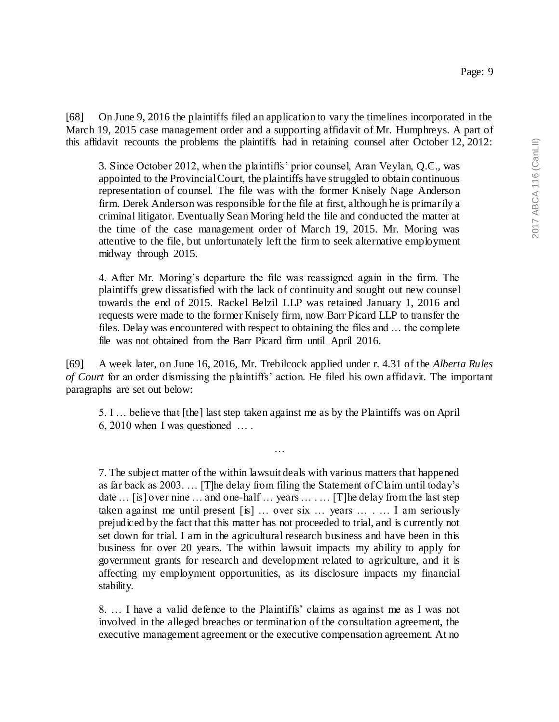[68] On June 9, 2016 the plaintiffs filed an application to vary the timelines incorporated in the March 19, 2015 case management order and a supporting affidavit of Mr. Humphreys. A part of this affidavit recounts the problems the plaintiffs had in retaining counsel after October 12, 2012:

3. Since October 2012, when the plaintiffs' prior counsel, Aran Veylan, Q.C., was appointed to the Provincial Court, the plaintiffs have struggled to obtain continuous representation of counsel. The file was with the former Knisely Nage Anderson firm. Derek Anderson was responsible for the file at first, although he is primarily a criminal litigator. Eventually Sean Moring held the file and conducted the matter at the time of the case management order of March 19, 2015. Mr. Moring was attentive to the file, but unfortunately left the firm to seek alternative employment midway through 2015.

4. After Mr. Moring's departure the file was reassigned again in the firm. The plaintiffs grew dissatisfied with the lack of continuity and sought out new counsel towards the end of 2015. Rackel Belzil LLP was retained January 1, 2016 and requests were made to the former Knisely firm, now Barr Picard LLP to transfer the files. Delay was encountered with respect to obtaining the files and … the complete file was not obtained from the Barr Picard firm until April 2016.

[69] A week later, on June 16, 2016, Mr. Trebilcock applied under r. 4.31 of the *Alberta Rules of Court* for an order dismissing the plaintiffs' action. He filed his own affidavit. The important paragraphs are set out below:

5. I … believe that [the] last step taken against me as by the Plaintiffs was on April 6, 2010 when I was questioned … .

…

7. The subject matter of the within lawsuit deals with various matters that happened as far back as 2003. … [T]he delay from filing the Statement of Claim until today's date ... [is] over nine ... and one-half ... years ... .... [T] he delay from the last step taken against me until present [is]  $\ldots$  over six  $\ldots$  years  $\ldots \ldots$  I am seriously prejudiced by the fact that this matter has not proceeded to trial, and is currently not set down for trial. I am in the agricultural research business and have been in this business for over 20 years. The within lawsuit impacts my ability to apply for government grants for research and development related to agriculture, and it is affecting my employment opportunities, as its disclosure impacts my financial stability.

8. … I have a valid defence to the Plaintiffs' claims as against me as I was not involved in the alleged breaches or termination of the consultation agreement, the executive management agreement or the executive compensation agreement. At no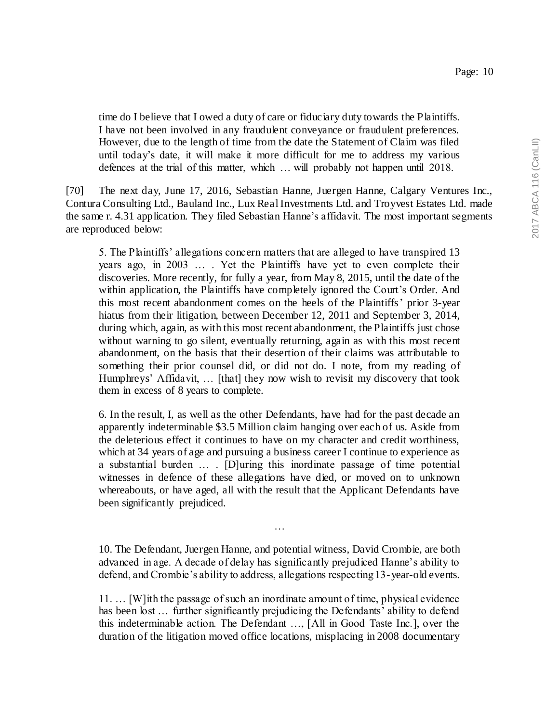time do I believe that I owed a duty of care or fiduciary duty towards the Plaintiffs. I have not been involved in any fraudulent conveyance or fraudulent preferences. However, due to the length of time from the date the Statement of Claim was filed until today's date, it will make it more difficult for me to address my various defences at the trial of this matter, which … will probably not happen until 2018.

[70] The next day, June 17, 2016, Sebastian Hanne, Juergen Hanne, Calgary Ventures Inc., Contura Consulting Ltd., Bauland Inc., Lux Real Investments Ltd. and Troyvest Estates Ltd. made the same r. 4.31 application. They filed Sebastian Hanne's affidavit. The most important segments are reproduced below:

5. The Plaintiffs' allegations concern matters that are alleged to have transpired 13 years ago, in 2003 … . Yet the Plaintiffs have yet to even complete their discoveries. More recently, for fully a year, from May 8, 2015, until the date of the within application, the Plaintiffs have completely ignored the Court's Order. And this most recent abandonment comes on the heels of the Plaintiffs' prior 3-year hiatus from their litigation, between December 12, 2011 and September 3, 2014, during which, again, as with this most recent abandonment, the Plaintiffs just chose without warning to go silent, eventually returning, again as with this most recent abandonment, on the basis that their desertion of their claims was attributable to something their prior counsel did, or did not do. I note, from my reading of Humphreys' Affidavit, … [that] they now wish to revisit my discovery that took them in excess of 8 years to complete.

6. In the result, I, as well as the other Defendants, have had for the past decade an apparently indeterminable \$3.5 Million claim hanging over each of us. Aside from the deleterious effect it continues to have on my character and credit worthiness, which at 34 years of age and pursuing a business career I continue to experience as a substantial burden … . [D]uring this inordinate passage of time potential witnesses in defence of these allegations have died, or moved on to unknown whereabouts, or have aged, all with the result that the Applicant Defendants have been significantly prejudiced.

10. The Defendant, Juergen Hanne, and potential witness, David Crombie, are both advanced in age. A decade of delay has significantly prejudiced Hanne's ability to defend, and Crombie's ability to address, allegations respecting 13-year-old events.

…

11. … [W]ith the passage of such an inordinate amount of time, physical evidence has been lost ... further significantly prejudicing the Defendants' ability to defend this indeterminable action. The Defendant …, [All in Good Taste Inc.], over the duration of the litigation moved office locations, misplacing in 2008 documentary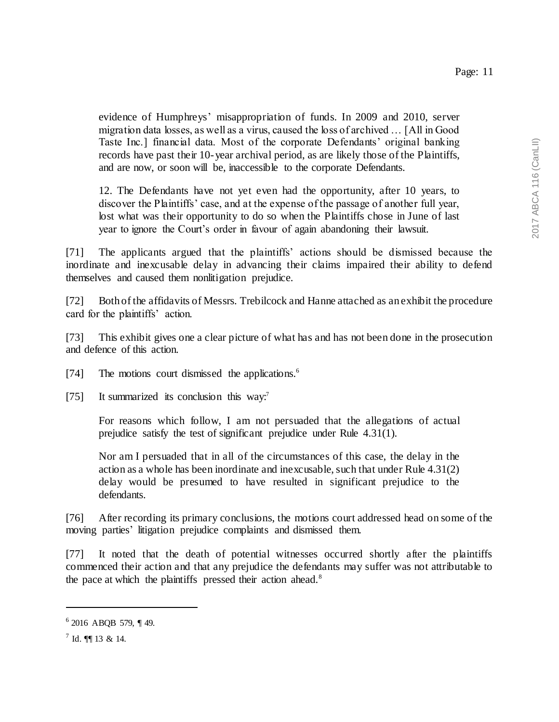evidence of Humphreys' misappropriation of funds. In 2009 and 2010, server migration data losses, as well as a virus, caused the loss of archived … [All in Good Taste Inc.] financial data. Most of the corporate Defendants' original banking records have past their 10-year archival period, as are likely those of the Plaintiffs, and are now, or soon will be, inaccessible to the corporate Defendants.

12. The Defendants have not yet even had the opportunity, after 10 years, to discover the Plaintiffs' case, and at the expense of the passage of another full year, lost what was their opportunity to do so when the Plaintiffs chose in June of last year to ignore the Court's order in favour of again abandoning their lawsuit.

[71] The applicants argued that the plaintiffs' actions should be dismissed because the inordinate and inexcusable delay in advancing their claims impaired their ability to defend themselves and caused them nonlitigation prejudice.

[72] Both of the affidavits of Messrs. Trebilcock and Hanne attached as an exhibit the procedure card for the plaintiffs' action.

[73] This exhibit gives one a clear picture of what has and has not been done in the prosecution and defence of this action.

[74] The motions court dismissed the applications.<sup>6</sup>

[75] It summarized its conclusion this way:<sup>7</sup>

For reasons which follow, I am not persuaded that the allegations of actual prejudice satisfy the test of significant prejudice under Rule 4.31(1).

Nor am I persuaded that in all of the circumstances of this case, the delay in the action as a whole has been inordinate and inexcusable, such that under Rule 4.31(2) delay would be presumed to have resulted in significant prejudice to the defendants.

[76] After recording its primary conclusions, the motions court addressed head on some of the moving parties' litigation prejudice complaints and dismissed them.

[77] It noted that the death of potential witnesses occurred shortly after the plaintiffs commenced their action and that any prejudice the defendants may suffer was not attributable to the pace at which the plaintiffs pressed their action ahead.<sup>8</sup>

l

 $6$  2016 ABQB 579, ¶ 49.

 $^{7}$  Id. ¶[ 13 & 14.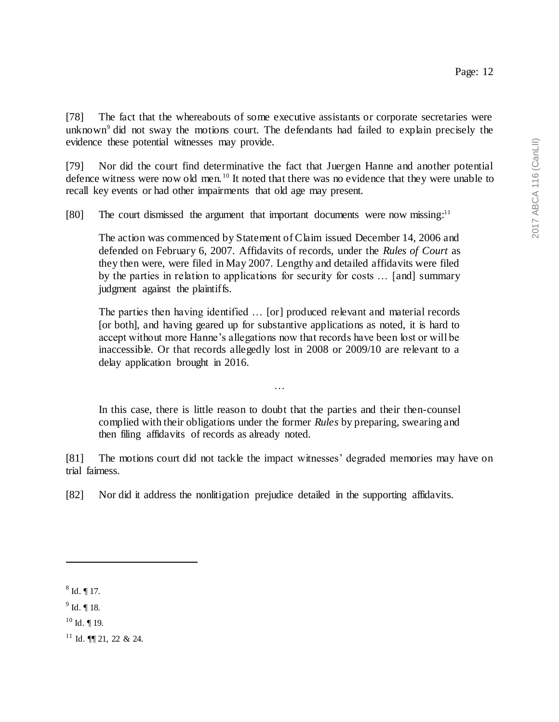[78] The fact that the whereabouts of some executive assistants or corporate secretaries were unknown<sup>9</sup> did not sway the motions court. The defendants had failed to explain precisely the evidence these potential witnesses may provide.

[79] Nor did the court find determinative the fact that Juergen Hanne and another potential defence witness were now old men. <sup>10</sup> It noted that there was no evidence that they were unable to recall key events or had other impairments that old age may present.

[80] The court dismissed the argument that important documents were now missing:<sup>11</sup>

The action was commenced by Statement of Claim issued December 14, 2006 and defended on February 6, 2007. Affidavits of records, under the *Rules of Court* as they then were, were filed in May 2007. Lengthy and detailed affidavits were filed by the parties in relation to applications for security for costs … [and] summary judgment against the plaintiffs.

The parties then having identified … [or] produced relevant and material records [or both], and having geared up for substantive applications as noted, it is hard to accept without more Hanne's allegations now that records have been lost or will be inaccessible. Or that records allegedly lost in 2008 or 2009/10 are relevant to a delay application brought in 2016.

In this case, there is little reason to doubt that the parties and their then-counsel complied with their obligations under the former *Rules* by preparing, swearing and then filing affidavits of records as already noted.

…

[81] The motions court did not tackle the impact witnesses' degraded memories may have on trial fairness.

[82] Nor did it address the nonlitigation prejudice detailed in the supporting affidavits.

l

 $8$  Id. ¶ 17.

 $^{9}$  Id. ¶ 18.

 $10$  Id. ¶ 19.

 $11$  Id.  $\P\P$  21, 22 & 24.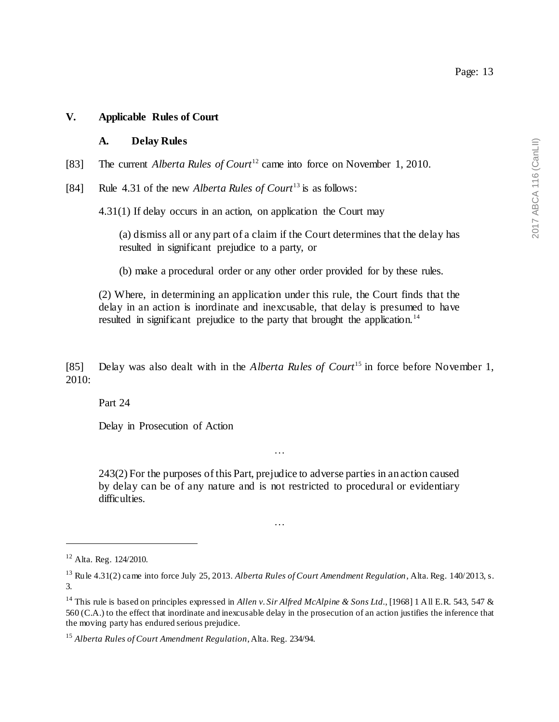#### **V. Applicable Rules of Court**

#### **A. Delay Rules**

- [83] The current *Alberta Rules of Court*<sup>12</sup> came into force on November 1, 2010.
- [84] Rule 4.31 of the new *Alberta Rules of Court*<sup>13</sup> is as follows:

4.31(1) If delay occurs in an action, on application the Court may

(a) dismiss all or any part of a claim if the Court determines that the delay has resulted in significant prejudice to a party, or

(b) make a procedural order or any other order provided for by these rules.

(2) Where, in determining an application under this rule, the Court finds that the delay in an action is inordinate and inexcusable, that delay is presumed to have resulted in significant prejudice to the party that brought the application.<sup>14</sup>

[85] Delay was also dealt with in the *Alberta Rules of Court*<sup>15</sup> in force before November 1, 2010:

Part 24

Delay in Prosecution of Action

243(2) For the purposes of this Part, prejudice to adverse parties in an action caused by delay can be of any nature and is not restricted to procedural or evidentiary difficulties.

…

…

<sup>12</sup> Alta. Reg. 124/2010.

<sup>13</sup> Rule 4.31(2) came into force July 25, 2013. *Alberta Rules of Court Amendment Regulation*, Alta. Reg. 140/2013, s. 3.

<sup>14</sup> This rule is based on principles expressed in *Allen v. Sir Alfred McAlpine & Sons Ltd.*, [1968] 1 All E.R. 543, 547 & 560 (C.A.) to the effect that inordinate and inexcusable delay in the prosecution of an action justifies the inference that the moving party has endured serious prejudice.

<sup>15</sup> *Alberta Rules of Court Amendment Regulation*, Alta. Reg. 234/94.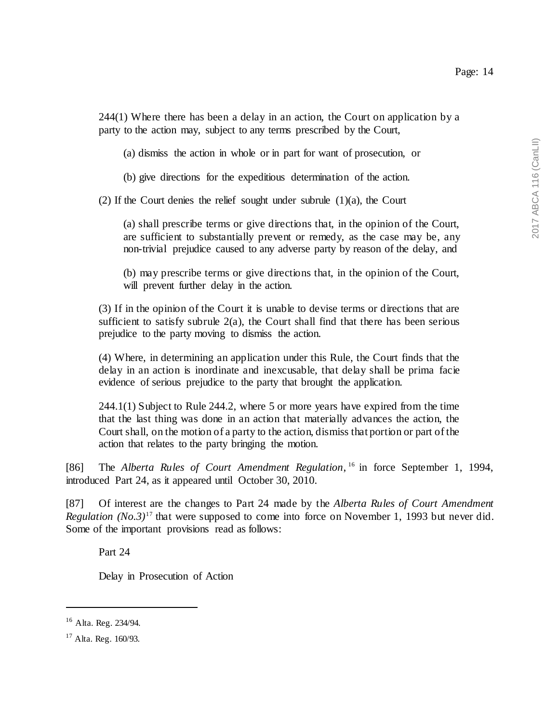244(1) Where there has been a delay in an action, the Court on application by a party to the action may, subject to any terms prescribed by the Court,

(a) dismiss the action in whole or in part for want of prosecution, or

(b) give directions for the expeditious determination of the action.

(2) If the Court denies the relief sought under subrule  $(1)(a)$ , the Court

(a) shall prescribe terms or give directions that, in the opinion of the Court, are sufficient to substantially prevent or remedy, as the case may be, any non-trivial prejudice caused to any adverse party by reason of the delay, and

(b) may prescribe terms or give directions that, in the opinion of the Court, will prevent further delay in the action.

(3) If in the opinion of the Court it is unable to devise terms or directions that are sufficient to satisfy subrule  $2(a)$ , the Court shall find that there has been serious prejudice to the party moving to dismiss the action.

(4) Where, in determining an application under this Rule, the Court finds that the delay in an action is inordinate and inexcusable, that delay shall be prima facie evidence of serious prejudice to the party that brought the application.

244.1(1) Subject to Rule 244.2, where 5 or more years have expired from the time that the last thing was done in an action that materially advances the action, the Court shall, on the motion of a party to the action, dismiss that portion or part of the action that relates to the party bringing the motion.

[86] The *Alberta Rules of Court Amendment Regulation*, <sup>16</sup> in force September 1, 1994, introduced Part 24, as it appeared until October 30, 2010.

[87] Of interest are the changes to Part 24 made by the *Alberta Rules of Court Amendment Regulation (No.3)*<sup>17</sup> that were supposed to come into force on November 1, 1993 but never did. Some of the important provisions read as follows:

Part 24

Delay in Prosecution of Action

l

<sup>16</sup> Alta. Reg. 234/94.

<sup>17</sup> Alta. Reg. 160/93.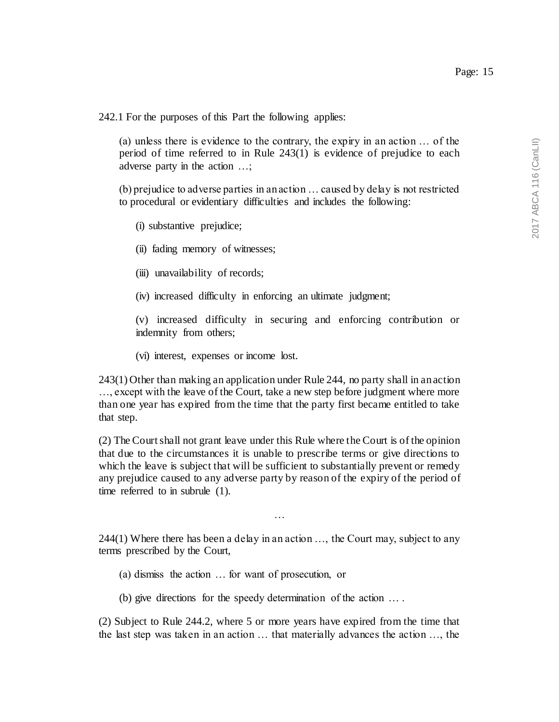242.1 For the purposes of this Part the following applies:

(a) unless there is evidence to the contrary, the expiry in an action … of the period of time referred to in Rule 243(1) is evidence of prejudice to each adverse party in the action …;

(b) prejudice to adverse parties in an action … caused by delay is not restricted to procedural or evidentiary difficulties and includes the following:

- (i) substantive prejudice;
- (ii) fading memory of witnesses;
- (iii) unavailability of records;
- (iv) increased difficulty in enforcing an ultimate judgment;

(v) increased difficulty in securing and enforcing contribution or indemnity from others;

(vi) interest, expenses or income lost.

243(1) Other than making an application under Rule 244, no party shall in an action …, except with the leave of the Court, take a new step before judgment where more than one year has expired from the time that the party first became entitled to take that step.

(2) The Court shall not grant leave under this Rule where the Court is of the opinion that due to the circumstances it is unable to prescribe terms or give directions to which the leave is subject that will be sufficient to substantially prevent or remedy any prejudice caused to any adverse party by reason of the expiry of the period of time referred to in subrule (1).

244(1) Where there has been a delay in an action …, the Court may, subject to any terms prescribed by the Court,

- (a) dismiss the action … for want of prosecution, or
- (b) give directions for the speedy determination of the action … .

(2) Subject to Rule 244.2, where 5 or more years have expired from the time that the last step was taken in an action … that materially advances the action …, the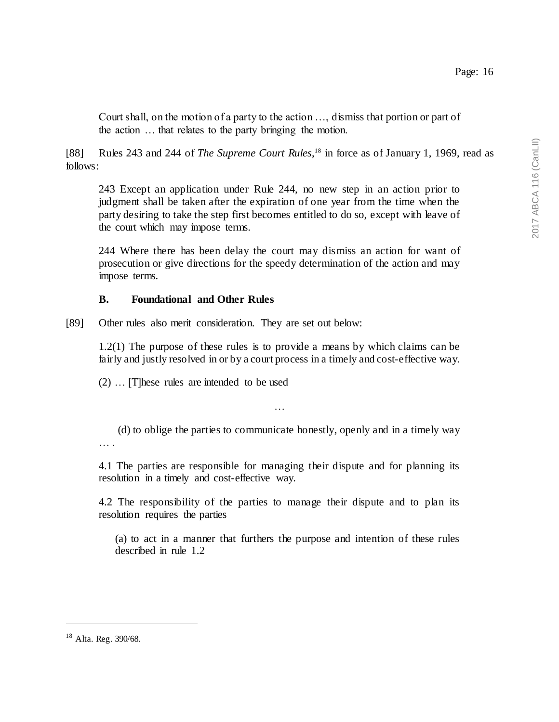Court shall, on the motion of a party to the action …, dismiss that portion or part of the action … that relates to the party bringing the motion.

[88] Rules 243 and 244 of *The Supreme Court Rules*,<sup>18</sup> in force as of January 1, 1969, read as follows:

243 Except an application under Rule 244, no new step in an action prior to judgment shall be taken after the expiration of one year from the time when the party desiring to take the step first becomes entitled to do so, except with leave of the court which may impose terms.

244 Where there has been delay the court may dismiss an action for want of prosecution or give directions for the speedy determination of the action and may impose terms.

#### **B. Foundational and Other Rules**

[89] Other rules also merit consideration. They are set out below:

1.2(1) The purpose of these rules is to provide a means by which claims can be fairly and justly resolved in or by a court process in a timely and cost-effective way.

(2) … [T]hese rules are intended to be used

(d) to oblige the parties to communicate honestly, openly and in a timely way … .

…

4.1 The parties are responsible for managing their dispute and for planning its resolution in a timely and cost-effective way.

4.2 The responsibility of the parties to manage their dispute and to plan its resolution requires the parties

(a) to act in a manner that furthers the purpose and intention of these rules described in rule 1.2

l

<sup>18</sup> Alta. Reg. 390/68.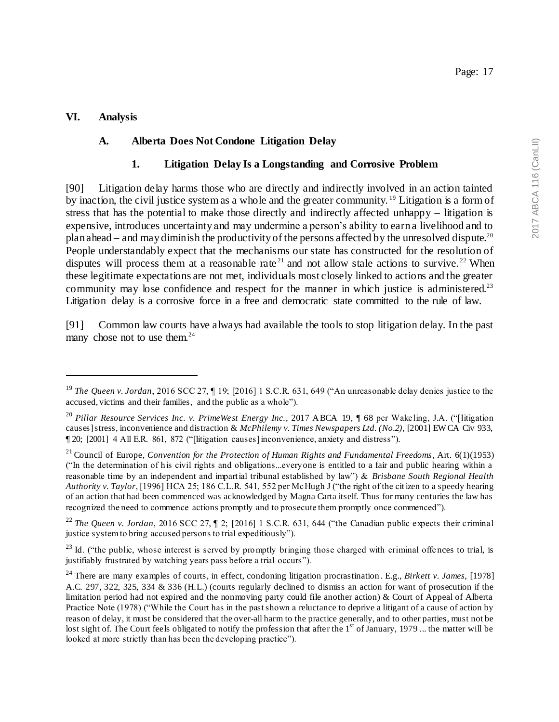2017 ABCA 116 (CanLII) 2017 ABCA 116 (CanLII)

## **VI. Analysis**

 $\overline{a}$ 

## **A. Alberta Does Not Condone Litigation Delay**

## **1. Litigation Delay Is a Longstanding and Corrosive Problem**

[90] Litigation delay harms those who are directly and indirectly involved in an action tainted by inaction, the civil justice system as a whole and the greater community. <sup>19</sup> Litigation is a form of stress that has the potential to make those directly and indirectly affected unhappy – litigation is expensive, introduces uncertainty and may undermine a person's ability to earn a livelihood and to plan ahead – and may diminish the productivity of the persons affected by the unresolved dispute.<sup>20</sup> People understandably expect that the mechanisms our state has constructed for the resolution of disputes will process them at a reasonable rate<sup>21</sup> and not allow stale actions to survive.<sup>22</sup> When these legitimate expectations are not met, individuals most closely linked to actions and the greater community may lose confidence and respect for the manner in which justice is administered.<sup>23</sup> Litigation delay is a corrosive force in a free and democratic state committed to the rule of law.

[91] Common law courts have always had available the tools to stop litigation delay. In the past many chose not to use them. $24$ 

<sup>&</sup>lt;sup>19</sup> *The Queen v. Jordan*, 2016 SCC 27, ¶ 19; [2016] 1 S.C.R. 631, 649 ("An unreasonable delay denies justice to the accused, victims and their families, and the public as a whole").

<sup>20</sup> *Pillar Resource Services Inc. v. PrimeWest Energy Inc.*, 2017 ABCA 19, ¶ 68 per Wakeling, J.A. ("[litigation causes] stress, inconvenience and distraction & *McPhilemy v. Times Newspapers Ltd. (No.2),* [2001] EW CA Civ 933, ¶ 20; [2001] 4 All E.R. 861, 872 ("[litigation causes] inconvenience, anxiety and distress").

<sup>21</sup> Council of Europe, *Convention for the Protection of Human Rights and Fundamental Freedoms*, Art. 6(1)(1953) ("In the determination of his civil rights and obligations...everyone is entitled to a fair and public hearing within a reasonable time by an independent and impartial tribunal established by law") & *Brisbane South Regional Health Authority v. Taylor*, [1996] HCA 25; 186 C.L.R. 541, 552 per McHugh J ("the right of the cit izen to a speedy hearing of an action that had been commenced was acknowledged by Magna Carta itself. Thus for many centuries the law has recognized the need to commence actions promptly and to prosecute them promptly once commenced").

<sup>22</sup> *The Queen v. Jordan*, 2016 SCC 27, ¶ 2; [2016] 1 S.C.R. 631, 644 ("the Canadian public expects their criminal justice system to bring accused persons to trial expeditiously").

<sup>&</sup>lt;sup>23</sup> Id. ("the public, whose interest is served by promptly bringing those charged with criminal offences to trial, is justifiably frustrated by watching years pass before a trial occurs").

<sup>24</sup> There are many examples of courts, in effect, condoning litigation procrastination . E.g., *Birkett v. James*, [1978] A.C. 297, 322, 325, 334 & 336 (H.L.) (courts regularly declined to dismiss an action for want of prosecution if the limitation period had not expired and the nonmoving party could file another action) & Court of Appeal of Alberta Practice Note (1978) ("While the Court has in the past shown a reluctance to deprive a litigant of a cause of action by reason of delay, it must be considered that the over-all harm to the practice generally, and to other parties, must not be lost sight of. The Court feels obligated to notify the profession that after the  $1<sup>st</sup>$  of January, 1979 ... the matter will be looked at more strictly than has been the developing practice").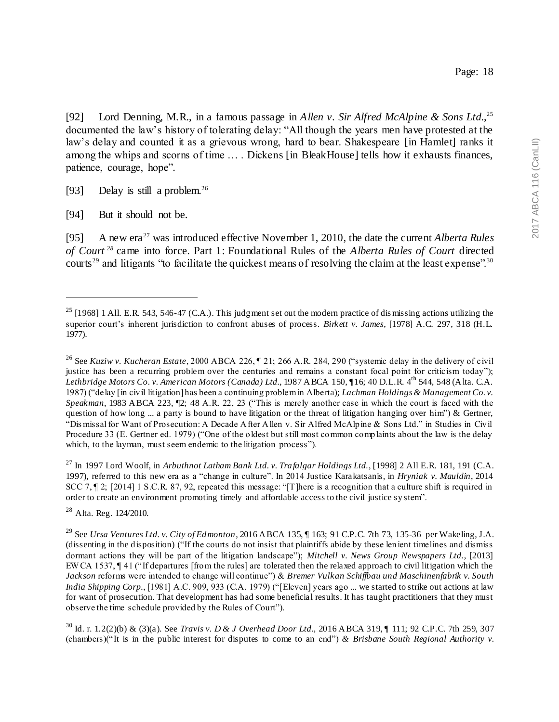[92] Lord Denning, M.R., in a famous passage in *Allen v. Sir Alfred McAlpine & Sons Ltd.*,<sup>25</sup> documented the law's history of tolerating delay: "All though the years men have protested at the law's delay and counted it as a grievous wrong, hard to bear. Shakespeare [in Hamlet] ranks it among the whips and scorns of time … . Dickens [in BleakHouse] tells how it exhausts finances, patience, courage, hope".

[93] Delay is still a problem.<sup>26</sup>

[94] But it should not be.

 $\overline{a}$ 

[95] A new era<sup>27</sup> was introduced effective November 1, 2010, the date the current *Alberta Rules of Court <sup>28</sup>* came into force. Part 1: Foundational Rules of the *Alberta Rules of Court* directed courts<sup>29</sup> and litigants "to facilitate the quickest means of resolving the claim at the least expense".<sup>30</sup>

<sup>27</sup> In 1997 Lord Woolf, in *Arbuthnot Latham Bank Ltd. v. Trafalgar Holdings Ltd.*, [1998] 2 All E.R. 181, 191 (C.A. 1997), referred to this new era as a "change in culture". In 2014 Justice Karakatsanis, in *Hryniak v. Mauldin*, 2014 SCC 7, ¶ 2; [2014] 1 S.C.R. 87, 92, repeated this message: "[T]here is a recognition that a culture shift is required in order to create an environment promoting timely and affordable access to the civil justice sy stem".

<sup>28</sup> Alta. Reg. 124/2010.

<sup>&</sup>lt;sup>25</sup> [1968] 1 All. E.R. 543, 546-47 (C.A.). This judgment set out the modern practice of dismissing actions utilizing the superior court's inherent jurisdiction to confront abuses of process. *Birkett v. James*, [1978] A.C. 297, 318 (H.L. 1977).

<sup>26</sup> See *Kuziw v. Kucheran Estate*, 2000 ABCA 226, ¶ 21; 266 A.R. 284, 290 ("systemic delay in the delivery of civil justice has been a recurring problem over the centuries and remains a constant focal point for criticism today"); *Lethbridge Motors Co. v. American Motors (Canada) Ltd.,* 1987 ABCA 150, ¶16; 40 D.L.R. 4th 544, 548 (Alta. C.A. 1987) ("delay [in civil litigation] has been a continuing problem in Alberta); *Lachman Holdings & Management Co. v. Speakman*, 1983 ABCA 223, ¶2; 48 A.R. 22, 23 ("This is merely another case in which the court is faced with the question of how long ... a party is bound to have litigation or the threat of litigation hanging over him") & Gertner, "Dis missal for Want of Prosecution: A Decade After Allen v. Sir Alfred McAlpine & Sons Ltd." in Studies in Civil Procedure 33 (E. Gertner ed. 1979) ("One of the oldest but still most common complaints about the law is the delay which, to the layman, must seem endemic to the litigation process").

<sup>29</sup> See *Ursa Ventures Ltd. v. City of Edmonton*, 2016 ABCA 135, ¶ 163; 91 C.P.C. 7th 73, 135-36 per Wakeling, J.A. (dissenting in the disposition) ("If the courts do not insist that plaintiffs abide by these lenient timelines and dismiss dormant actions they will be part of the litigation landscape"); *Mitchell v. News Group Newspapers Ltd.*, [2013] EW CA 1537, ¶ 41 ("If departures [from the rules] are tolerated then the relaxed approach to civil litigation which the *Jackson* reforms were intended to change will continue") & *Bremer Vulkan Schiffbau und Maschinenfabrik v. South India Shipping Corp.*, [1981] A.C. 909, 933 (C.A. 1979) ("[Eleven] years ago ... we started to strike out actions at law for want of prosecution. That development has had some beneficial results. It has taught practitioners that they must observe the time schedule provided by the Rules of Court").

<sup>30</sup> Id. r. 1.2(2)(b) & (3)(a). See *Travis v. D & J Overhead Door Ltd.,* 2016 ABCA 319, ¶ 111; 92 C.P.C. 7th 259, 307 (chambers)("It is in the public interest for disputes to come to an end") *& Brisbane South Regional Authority v.*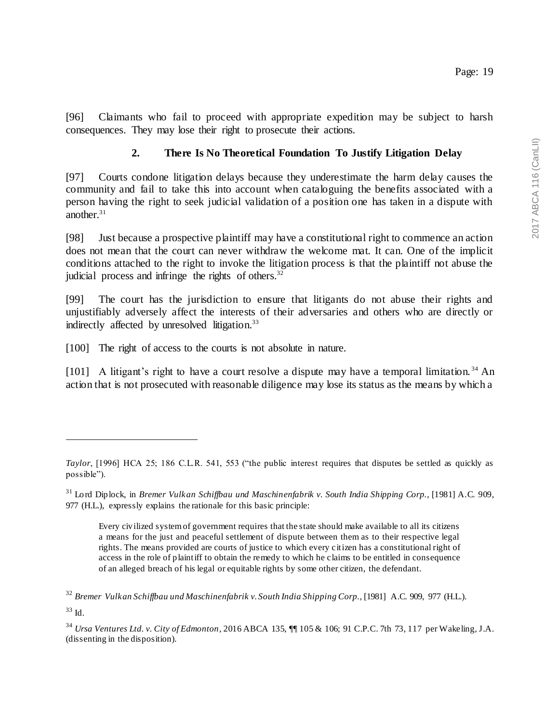[96] Claimants who fail to proceed with appropriate expedition may be subject to harsh consequences. They may lose their right to prosecute their actions.

## **2. There Is No Theoretical Foundation To Justify Litigation Delay**

[97] Courts condone litigation delays because they underestimate the harm delay causes the community and fail to take this into account when cataloguing the benefits associated with a person having the right to seek judicial validation of a position one has taken in a dispute with another. 31

[98] Just because a prospective plaintiff may have a constitutional right to commence an action does not mean that the court can never withdraw the welcome mat. It can. One of the implicit conditions attached to the right to invoke the litigation process is that the plaintiff not abuse the judicial process and infringe the rights of others.<sup>32</sup>

[99] The court has the jurisdiction to ensure that litigants do not abuse their rights and unjustifiably adversely affect the interests of their adversaries and others who are directly or indirectly affected by unresolved litigation.<sup>33</sup>

[100] The right of access to the courts is not absolute in nature.

 $\overline{a}$ 

[101] A litigant's right to have a court resolve a dispute may have a temporal limitation.<sup>34</sup> An action that is not prosecuted with reasonable diligence may lose its status as the means by which a

*Taylor*, [1996] HCA 25; 186 C.L.R. 541, 553 ("the public interest requires that disputes be settled as quickly as possible").

<sup>31</sup> Lord Diplock, in *Bremer Vulkan Schiffbau und Maschinenfabrik v. South India Shipping Corp.*, [1981] A.C. 909, 977 (H.L.), expressly explains the rationale for this basic principle:

Every civilized system of government requires that the state should make available to all its citizens a means for the just and peaceful settlement of dispute between them as to their respective legal rights. The means provided are courts of justice to which every citizen has a constitutional right of access in the role of plaintiff to obtain the remedy to which he claims to be entitled in consequence of an alleged breach of his legal or equitable rights by some other citizen, the defendant.

<sup>32</sup> *Bremer Vulkan Schiffbau und Maschinenfabrik v. South India Shipping Corp.*, [1981] A.C. 909, 977 (H.L.). <sup>33</sup> Id.

<sup>34</sup> *Ursa Ventures Ltd. v. City of Edmonton*, 2016 ABCA 135, ¶¶ 105 & 106; 91 C.P.C. 7th 73, 117 per Wakeling, J.A. (dissenting in the disposition).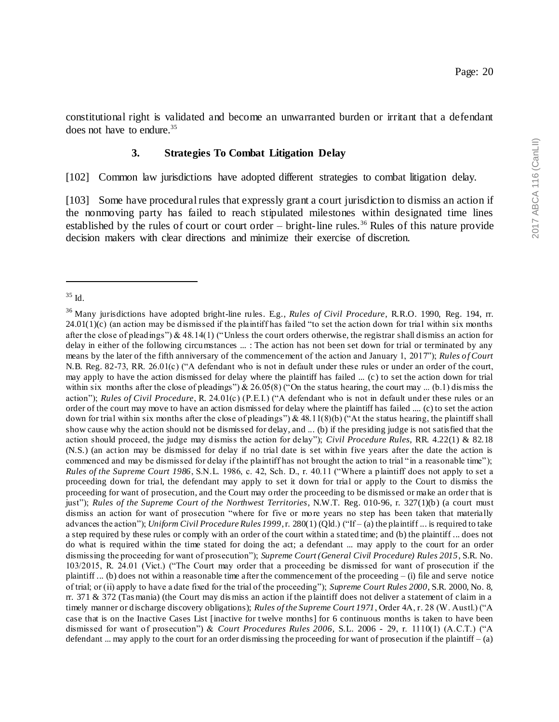constitutional right is validated and become an unwarranted burden or irritant that a defendant does not have to endure.<sup>35</sup>

#### **3. Strategies To Combat Litigation Delay**

[102] Common law jurisdictions have adopted different strategies to combat litigation delay.

[103] Some have procedural rules that expressly grant a court jurisdiction to dismiss an action if the nonmoving party has failed to reach stipulated milestones within designated time lines established by the rules of court or court order – bright-line rules.<sup>36</sup> Rules of this nature provide decision makers with clear directions and minimize their exercise of discretion.

<sup>35</sup> Id.

<sup>36</sup> Many jurisdictions have adopted bright-line rules. E.g., *Rules of Civil Procedure*, R.R.O. 1990, Reg. 194, rr.  $24.01(1)$ (c) (an action may be dismissed if the plaintiff has failed "to set the action down for trial within six months after the close of pleadings") & 48.14(1) ("Unless the court orders otherwise, the registrar shall dismiss an action for delay in either of the following circumstances ... : The action has not been set down for trial or terminated by any means by the later of the fifth anniversary of the commencement of the action and January 1, 2017"); *Rules of Court* N.B. Reg. 82-73, RR. 26.01(c) ("A defendant who is not in default under these rules or under an order of the court, may apply to have the action dismissed for delay where the plaintiff has failed ... (c) to set the action down for trial within six months after the close of pleadings") & 26.05(8) ("On the status hearing, the court may ... (b.1) dismiss the action"); *Rules of Civil Procedure*, R. 24.01(c) (P.E.I.) ("A defendant who is not in default under these rules or an order of the court may move to have an action dismissed for delay where the plaintiff has failed .... (c) to set the action down for trial within six months after the close of pleadings")  $\&$  48.11(8)(b) ("At the status hearing, the plaintiff shall show cause why the action should not be dismissed for delay, and ... (b) if the presiding judge is not satisfied that the action should proceed, the judge may dismiss the action for delay"); *Civil Procedure Rules*, RR. 4.22(1) & 82.18 (N.S.) (an action may be dismissed for delay if no trial date is set within five years after the date the action is commenced and may be dismissed for delay if the plaintiff has not brought the action to trial "in a reasonable time"); *Rules of the Supreme Court 1986*, S.N.L. 1986, c. 42, Sch. D., r. 40.11 ("Where a plaintiff does not apply to set a proceeding down for trial, the defendant may apply to set it down for trial or apply to the Court to dismiss the proceeding for want of prosecution, and the Court may order the proceeding to be dismissed or make an order that is just"); *Rules of the Supreme Court of the Northwest Territories*, N.W.T. Reg. 010-96, r. 327(1)(b) (a court must dismiss an action for want of prosecution "where for five or more years no step has been taken that materially advances the action"); *Uniform Civil Procedure Rules 1999*, r. 280(1) (Qld.) ("If – (a) the plaintiff ... is required to take a step required by these rules or comply with an order of the court within a stated time; and (b) the plaintiff ... does not do what is required within the time stated for doing the act; a defendant ... may apply to the court for an order dismissing the proceeding for want of prosecution"); *Supreme Court (General Civil Procedure) Rules 2015*, S.R. No. 103/2015, R. 24.01 (Vict.) ("The Court may order that a proceeding be dismissed for want of prosecution if the plaintiff ... (b) does not within a reasonable time after the commencement of the proceeding  $-$  (i) file and serve notice of trial; or (ii) apply to have a date fixed for the trial of the proceeding"); *Supreme Court Rules 2000*, S.R. 2000, No. 8, rr. 371 & 372 (Tas mania) (the Court may dis miss an action if the plaintiff does not deliver a statement of claim in a timely manner or discharge discovery obligations); *Rules of the Supreme Court 1971*, Order 4A, r. 28 (W. Austl.) ("A case that is on the Inactive Cases List [inactive for twelve months] for 6 continuous months is taken to have been dismissed for want of prosecution") & *Court Procedures Rules 2006*, S.L. 2006 - 29, r. 1110(1) (A.C.T.) ("A defendant ... may apply to the court for an order dismissing the proceeding for want of prosecution if the plaintiff – (a)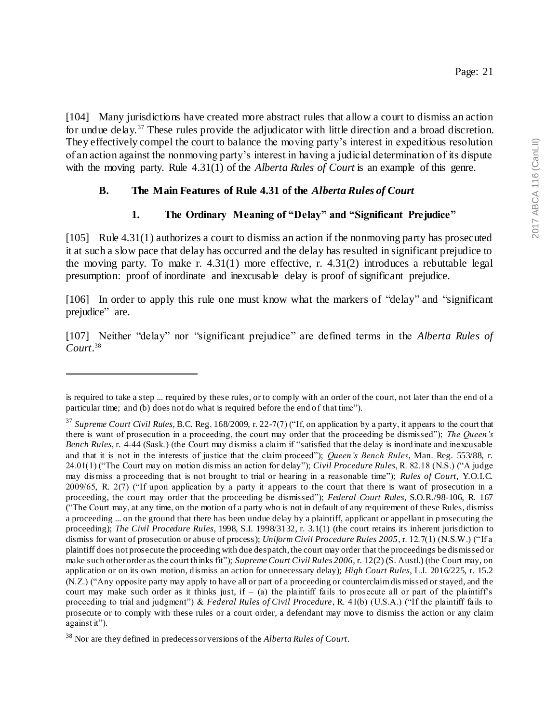[104] Many jurisdictions have created more abstract rules that allow a court to dismiss an action for undue delay.<sup>37</sup> These rules provide the adjudicator with little direction and a broad discretion. They effectively compel the court to balance the moving party's interest in expeditious resolution of an action against the nonmoving party's interest in having a judicial determination of its dispute with the moving party. Rule 4.31(1) of the *Alberta Rules of Court* is an example of this genre.

## **B. The Main Features of Rule 4.31 of the** *Alberta Rules of Court*

## **1. The Ordinary Meaning of "Delay" and "Significant Prejudice"**

[105] Rule 4.31(1) authorizes a court to dismiss an action if the nonmoving party has prosecuted it at such a slow pace that delay has occurred and the delay has resulted in significant prejudice to the moving party. To make r.  $4.31(1)$  more effective, r.  $4.31(2)$  introduces a rebuttable legal presumption: proof of inordinate and inexcusable delay is proof of significant prejudice.

[106] In order to apply this rule one must know what the markers of "delay" and "significant" prejudice" are.

[107] Neither "delay" nor "significant prejudice" are defined terms in the *Alberta Rules of Court*. 38

is required to take a step ... required by these rules, or to comply with an order of the court, not later than the end of a particular time; and (b) does not do what is required before the end of that time").

<sup>&</sup>lt;sup>37</sup> Supreme Court Civil Rules, B.C. Reg. 168/2009, r. 22-7(7) ("If, on application by a party, it appears to the court that there is want of prosecution in a proceeding, the court may order that the proceeding be dismissed"); *The Queen's Bench Rules*, r. 4-44 (Sask.) (the Court may dismiss a claim if "satisfied that the delay is inordinate and inexcusable and that it is not in the interests of justice that the claim proceed"); *Queen's Bench Rules*, Man. Reg. 553/88, r. 24.01(1) ("The Court may on motion dis miss an action for delay"); *Civil Procedure Rules*, R. 82.18 (N.S.) ("A judge may dis miss a proceeding that is not brought to trial or hearing in a reasonable time"); *Rules of Court*, Y.O.I.C. 2009/65, R. 2(7) ("If upon application by a party it appears to the court that there is want of prosecution in a proceeding, the court may order that the proceeding be dismissed"); *Federal Court Rules*, S.O.R./98-106, R. 167 ("The Court may, at any time, on the motion of a party who is not in default of any requirement of these Rules, dismiss a proceeding ... on the ground that there has been undue delay by a plaintiff, applicant or appellant in prosecuting the proceeding); *The Civil Procedure Rules*, 1998, S.I. 1998/3132, r. 3.1(1) (the court retains its inherent jurisdiction to dismiss for want of prosecution or abuse of process); *Uniform Civil Procedure Rules 2005*, r. 12.7(1) (N.S.W.) ("If a plaintiff does not prosecute the proceeding with due despatch, the court may order that the proceedings be dismissed or make such other order as the court thinks fit"); *Supreme Court Civil Rules 2006*, r. 12(2) (S. Austl.) (the Court may, on application or on its own motion, dismiss an action for unnecessary delay); *High Court Rules*, L.I. 2016/225, r. 15.2 (N.Z.) ("Any opposite party may apply to have all or part of a proceeding or counterclaim dis missed or stayed, and the court may make such order as it thinks just, if  $-$  (a) the plaintiff fails to prosecute all or part of the plaintiff's proceeding to trial and judgment") & *Federal Rules of Civil Procedure*, R. 41(b) (U.S.A.) ("If the plaintiff fails to prosecute or to comply with these rules or a court order, a defendant may move to dismiss the action or any claim against it").

<sup>38</sup> Nor are they defined in predecessor versions of the *Alberta Rules of Court*.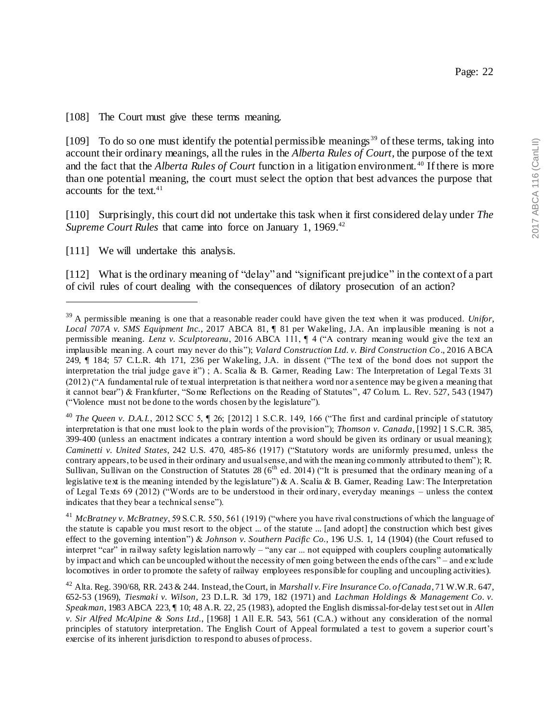[108] The Court must give these terms meaning.

[109] To do so one must identify the potential permissible meanings<sup>39</sup> of these terms, taking into account their ordinary meanings, all the rules in the *Alberta Rules of Court*, the purpose of the text and the fact that the *Alberta Rules of Court* function in a litigation environment.<sup>40</sup> If there is more than one potential meaning, the court must select the option that best advances the purpose that accounts for the text. $41$ 

[110] Surprisingly, this court did not undertake this task when it first considered delay under *The*  Supreme Court Rules that came into force on January 1, 1969.<sup>42</sup>

[111] We will undertake this analysis.

 $\overline{a}$ 

[112] What is the ordinary meaning of "delay" and "significant prejudice" in the context of a part of civil rules of court dealing with the consequences of dilatory prosecution of an action?

<sup>39</sup> A permissible meaning is one that a reasonable reader could have given the text when it was produced. *Unifor, Local 707A v. SMS Equipment Inc.*, 2017 ABCA 81, ¶ 81 per Wakeling, J.A. An implausible meaning is not a permissible meaning. *Lenz v. Sculptoreanu*, 2016 ABCA 111, ¶ 4 ("A contrary meaning would give the text an implausible meaning. A court may never do this"); *Valard Construction Ltd. v. Bird Construction Co*., 2016 ABCA 249, ¶ 184; 57 C.L.R. 4th 171, 236 per Wakeling, J.A. in dissent ("The text of the bond does not support the interpretation the trial judge gave it"); A. Scalia & B. Garner, Reading Law: The Interpretation of Legal Texts 31 (2012) ("A fundamental rule of textual interpretation is that neither a word nor a sentence may be given a meaning that it cannot bear") & Frankfurter, "Some Reflections on the Reading of Statutes", 47 Colum. L. Rev. 527, 543 (1947) ("Violence must not be done to the words chosen by the legislature").

<sup>40</sup> *The Queen v. D.A.I.*, 2012 SCC 5, ¶ 26; [2012] 1 S.C.R. 149, 166 ("The first and cardinal principle of statutory interpretation is that one must look to the plain words of the provision"); *Thomson v. Canada*, [1992] 1 S.C.R. 385, 399-400 (unless an enactment indicates a contrary intention a word should be given its ordinary or usual meaning); *Caminetti v. United States*, 242 U.S. 470, 485-86 (1917) ("Statutory words are uniformly presumed, unless the contrary appears, to be used in their ordinary and usual sense, and with the meaning commonly attributed to them"); R. Sullivan, Sullivan on the Construction of Statutes 28 ( $6<sup>th</sup>$  ed. 2014) ("It is presumed that the ordinary meaning of a legislative text is the meaning intended by the legislature") & A. Scalia & B. Garner, Reading Law: The Interpretation of Legal Texts 69 (2012) ("Words are to be understood in their ordinary, everyday meanings – unless the context indicates that they bear a technical sense").

<sup>41</sup> *McBratney v. McBratney*, 59 S.C.R. 550, 561 (1919) ("where you have rival constructions of which the language of the statute is capable you must resort to the object ... of the statute ... [and adopt] the construction which best gives effect to the governing intention") & *Johnson v. Southern Pacific Co.*, 196 U.S. 1, 14 (1904) (the Court refused to interpret "car" in railway safety legislation narrowly – "any car ... not equipped with couplers coupling automatically by impact and which can be uncoupled without the necessity of men going between the ends of the cars" – and exclude locomotives in order to promote the safety of railway employees responsible for coupling and uncoupling activities).

<sup>42</sup> Alta. Reg. 390/68, RR. 243 & 244. Instead, the Court, in *Marshall v. Fire Insurance Co. of Canada*, 71 W.W.R. 647, 652-53 (1969), *Tiesmaki v. Wilson*, 23 D.L.R. 3d 179, 182 (1971) and *Lachman Holdings & Management Co. v. Speakman*, 1983 ABCA 223, ¶ 10; 48 A.R. 22, 25 (1983), adopted the English dismissal-for-delay test set out in *Allen v. Sir Alfred McAlpine & Sons Ltd.*, [1968] 1 All E.R. 543, 561 (C.A.) without any consideration of the normal principles of statutory interpretation. The English Court of Appeal formulated a test to govern a superior court's exercise of its inherent jurisdiction to respond to abuses of process.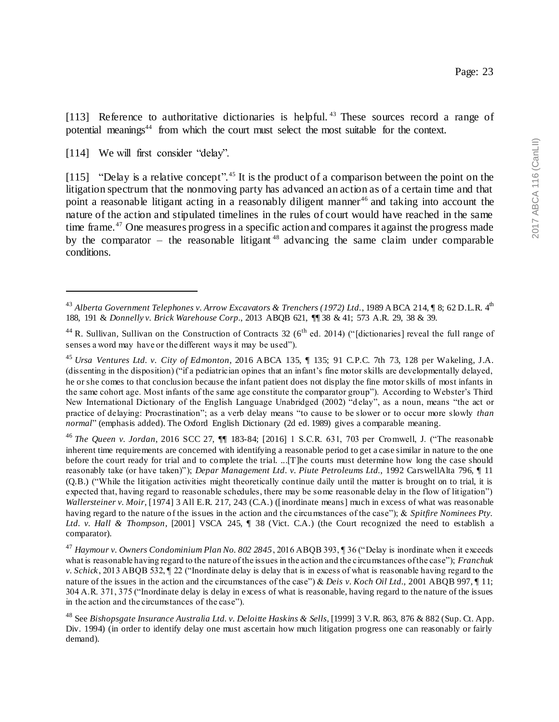[113] Reference to authoritative dictionaries is helpful.<sup>43</sup> These sources record a range of potential meanings<sup>44</sup> from which the court must select the most suitable for the context.

[114] We will first consider "delay".

 $\overline{a}$ 

[115] "Delay is a relative concept".<sup>45</sup> It is the product of a comparison between the point on the litigation spectrum that the nonmoving party has advanced an action as of a certain time and that point a reasonable litigant acting in a reasonably diligent manner<sup>46</sup> and taking into account the nature of the action and stipulated timelines in the rules of court would have reached in the same time frame.<sup>47</sup> One measures progress in a specific action and compares it against the progress made by the comparator – the reasonable litigant<sup>48</sup> advancing the same claim under comparable conditions.

<sup>&</sup>lt;sup>43</sup> Alberta Government Telephones v. Arrow Excavators & Trenchers (1972) Ltd., 1989 ABCA 214, ¶ 8; 62 D.L.R. 4<sup>th</sup> 188, 191 & *Donnelly v. Brick Warehouse Corp.*, 2013 ABQB 621, ¶¶ 38 & 41; 573 A.R. 29, 38 & 39.

<sup>&</sup>lt;sup>44</sup> R. Sullivan, Sullivan on the Construction of Contracts 32 ( $6<sup>th</sup>$  ed. 2014) ("[dictionaries] reveal the full range of senses a word may have or the different ways it may be used").

<sup>45</sup> *Ursa Ventures Ltd. v. City of Edmonton*, 2016 ABCA 135, ¶ 135; 91 C.P.C. 7th 73, 128 per Wakeling, J.A. (dissenting in the disposition) ("if a pediatrician opines that an infant's fine motor skills are developmentally delayed, he or she comes to that conclusion because the infant patient does not display the fine motor skills of most infants in the same cohort age. Most infants of the same age constitute the comparator group"). According to Webster's Third New International Dictionary of the English Language Unabridged (2002) "delay", as a noun, means "the act or practice of delaying: Procrastination"; as a verb delay means "to cause to be slower or to occur more slowly *than normal*" (emphasis added). The Oxford English Dictionary (2d ed. 1989) gives a comparable meaning.

<sup>46</sup> *The Queen v. Jordan*, 2016 SCC 27, ¶¶ 183-84; [2016] 1 S.C.R. 631, 703 per Cromwell, J. ("The reasonable inherent time requirements are concerned with identifying a reasonable period to get a case similar in nature to the one before the court ready for trial and to complete the trial. ...[T]he courts must determine how long the case should reasonably take (or have taken)"); *Depar Management Ltd. v. Piute Petroleums Ltd.*, 1992 CarswellAlta 796, ¶ 11 (Q.B.) ("While the litigation activities might theoretically continue daily until the matter is brought on to trial, it is expected that, having regard to reasonable schedules, there may be some reasonable delay in the flow of litigation") *Wallersteiner v. Moir*, [1974] 3 All E.R. 217, 243 (C.A.) ([inordinate means] much in excess of what was reasonable having regard to the nature of the issues in the action and the circumstances of the case"); & *Spitfire Nominees Pty. Ltd. v. Hall & Thompson*, [2001] VSCA 245, ¶ 38 (Vict. C.A.) (the Court recognized the need to establish a comparator).

<sup>47</sup> *Haymour v. Owners Condominium Plan No. 802 2845*, 2016 ABQB 393, ¶ 36 ("Delay is inordinate when it exceeds what is reasonable having regard to the nature of the issues in the action and the circumstances of the case"); *Franchuk v. Schick*, 2013 ABQB 532, ¶ 22 ("Inordinate delay is delay that is in excess of what is reasonable having regard to the nature of the issues in the action and the circumstances of the case") & *Deis v. Koch Oil Ltd.*, 2001 ABQB 997, ¶ 11; 304 A.R. 371, 375 ("Inordinate delay is delay in excess of what is reasonable, having regard to the nature of the issues in the action and the circumstances of the case").

<sup>48</sup> See *Bishopsgate Insurance Australia Ltd. v. Deloitte Haskins & Sells*, [1999] 3 V.R. 863, 876 & 882 (Sup. Ct. App. Div. 1994) (in order to identify delay one must ascertain how much litigation progress one can reasonably or fairly demand).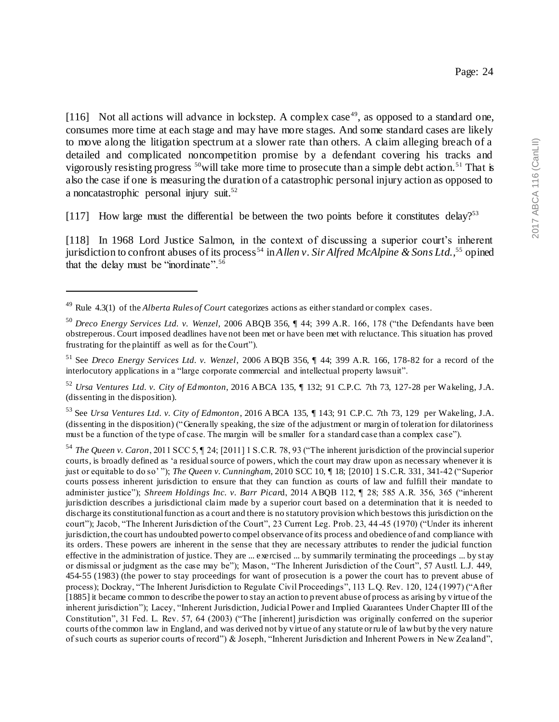[116] Not all actions will advance in lockstep. A complex case<sup>49</sup>, as opposed to a standard one, consumes more time at each stage and may have more stages. And some standard cases are likely to move along the litigation spectrum at a slower rate than others. A claim alleging breach of a detailed and complicated noncompetition promise by a defendant covering his tracks and vigorously resisting progress  $50$  will take more time to prosecute than a simple debt action.  $51$  That is also the case if one is measuring the duration of a catastrophic personal injury action as opposed to a noncatastrophic personal injury suit.<sup>52</sup>

[117] How large must the differential be between the two points before it constitutes delay?<sup>53</sup>

[118] In 1968 Lord Justice Salmon, in the context of discussing a superior court's inherent jurisdiction to confront abuses of its process<sup>54</sup> in *Allen v. Sir Alfred McAlpine & Sons Ltd.*,<sup>55</sup> opined that the delay must be "inordinate".<sup>56</sup>

 $\overline{a}$ 

<sup>53</sup> See *Ursa Ventures Ltd. v. City of Edmonton*, 2016 ABCA 135, ¶ 143; 91 C.P.C. 7th 73, 129 per Wakeling, J.A. (dissenting in the disposition) ("Generally speaking, the size of the adjustment or margin of toleration for dilatoriness must be a function of the type of case. The margin will be smaller for a standard case than a complex case").

<sup>54</sup> *The Queen v. Caron*, 2011 SCC 5, ¶ 24; [2011] 1 S.C.R. 78, 93 ("The inherent jurisdiction of the provincial superior courts, is broadly defined as 'a residual source of powers, which the court may draw upon as necessary whenever it is just or equitable to do so' "); *The Queen v. Cunningham*, 2010 SCC 10, ¶ 18; [2010] 1 S.C.R. 331, 341-42 ("Superior courts possess inherent jurisdiction to ensure that they can function as courts of law and fulfill their mandate to administer justice"); *Shreem Holdings Inc. v. Barr Picar*d, 2014 ABQB 112, ¶ 28; 585 A.R. 356, 365 ("inherent jurisdiction describes a jurisdictional claim made by a superior court based on a determination that it is needed to discharge its constitutional function as a court and there is no statutory provision which bestows this jurisdiction on the court"); Jacob, "The Inherent Jurisdiction of the Court", 23 Current Leg. Prob. 23, 44 -45 (1970) ("Under its inherent jurisdiction, the court has undoubted power to compel observance of its process and obedience of and compliance with its orders. These powers are inherent in the sense that they are necessary attributes to render the judicial function effective in the administration of justice. They are ... exercised ... by summarily terminating the proceedings ... by st ay or dismissal or judgment as the case may be"); Mason, "The Inherent Jurisdiction of the Court", 57 Austl. L.J. 449, 454-55 (1983) (the power to stay proceedings for want of prosecution is a power the court has to prevent abuse of process); Dockray, "The Inherent Jurisdiction to Regulate Civil Proceedings", 113 L.Q. Rev. 120, 124 (1997) ("After [1885] it became common to describe the power to stay an action to prevent abuse of process as arising by virtue of the inherent jurisdiction"); Lacey, "Inherent Jurisdiction, Judicial Power and Implied Guarantees Under Chapter III of the Constitution", 31 Fed. L. Rev. 57, 64 (2003) ("The [inherent] jurisdiction was originally conferred on the superior courts of the common law in England, and was derived not by virtue of any statute or rule of law but by the very nature of such courts as superior courts of record") & Joseph, "Inherent Jurisdiction and Inherent Powers in New Zealand",

<sup>49</sup> Rule 4.3(1) of the *Alberta Rules of Court* categorizes actions as either standard or complex cases.

<sup>50</sup> *Dreco Energy Services Ltd. v. Wenzel,* 2006 ABQB 356, ¶ 44; 399 A.R. 166, 178 ("the Defendants have been obstreperous. Court imposed deadlines have not been met or have been met with reluctance. This situation has proved frustrating for the plaintiff as well as for the Court").

<sup>51</sup> See *Dreco Energy Services Ltd. v. Wenzel*, 2006 ABQB 356, ¶ 44; 399 A.R. 166, 178-82 for a record of the interlocutory applications in a "large corporate commercial and intellectual property lawsuit".

<sup>52</sup> *Ursa Ventures Ltd. v. City of Edmonton*, 2016 ABCA 135, ¶ 132; 91 C.P.C. 7th 73, 127-28 per Wakeling, J.A. (dissenting in the disposition).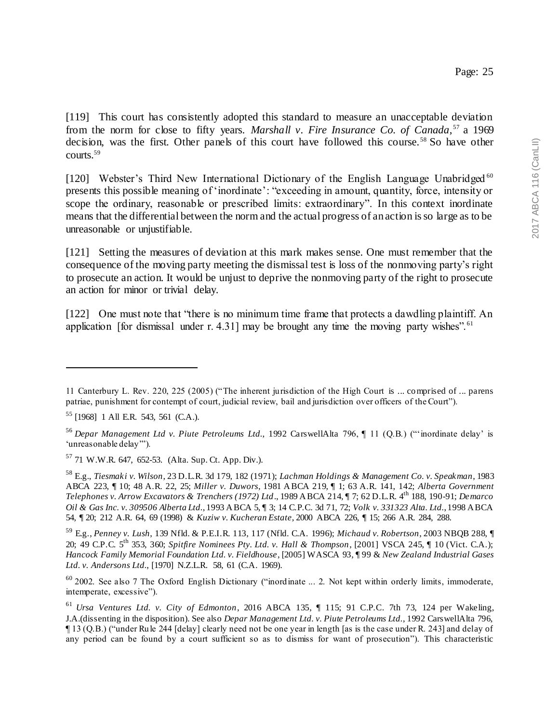[119] This court has consistently adopted this standard to measure an unacceptable deviation from the norm for close to fifty years. *Marshall v. Fire Insurance Co. of Canada*,<sup>57</sup> a 1969 decision, was the first. Other panels of this court have followed this course. <sup>58</sup> So have other courts.<sup>59</sup>

[120] Webster's Third New International Dictionary of the English Language Unabridged<sup>60</sup> presents this possible meaning of 'inordinate': "exceeding in amount, quantity, force, intensity or scope the ordinary, reasonable or prescribed limits: extraordinary". In this context inordinate means that the differential between the norm and the actual progress of an action is so large as to be unreasonable or unjustifiable.

[121] Setting the measures of deviation at this mark makes sense. One must remember that the consequence of the moving party meeting the dismissal test is loss of the nonmoving party's right to prosecute an action. It would be unjust to deprive the nonmoving party of the right to prosecute an action for minor or trivial delay.

[122] One must note that "there is no minimum time frame that protects a dawdling plaintiff. An application [for dismissal under r. 4.31] may be brought any time the moving party wishes".<sup>61</sup>

<sup>55</sup> [1968] 1 All E.R. 543, 561 (C.A.).

 $\overline{a}$ 

<sup>57</sup> 71 W.W.R. 647, 652-53. (Alta. Sup. Ct. App. Div.).

<sup>58</sup> E.g., *Tiesmaki v. Wilson*, 23 D.L.R. 3d 179, 182 (1971); *Lachman Holdings & Management Co. v. Speakman*, 1983 ABCA 223, ¶ 10; 48 A.R. 22, 25; *Miller v. Duwors*, 1981 ABCA 219, ¶ 1; 63 A.R. 141, 142; *Alberta Government Telephones v. Arrow Excavators & Trenchers (1972) Ltd*., 1989 ABCA 214, ¶ 7; 62 D.L.R. 4th 188, 190-91; *Demarco Oil & Gas Inc. v. 309506 Alberta Ltd.*, 1993 ABCA 5, ¶ 3; 14 C.P.C. 3d 71, 72; *Volk v. 331323 Alta. Ltd.*, 1998 ABCA 54, ¶ 20; 212 A.R. 64, 69 (1998) & *Kuziw v. Kucheran Estate*, 2000 ABCA 226, ¶ 15; 266 A.R. 284, 288.

<sup>59</sup> E.g., *Penney v. Lush*, 139 Nfld. & P.E.I.R. 113, 117 (Nfld. C.A. 1996); *Michaud v. Robertson*, 2003 NBQB 288, ¶ 20; 49 C.P.C. 5th 353, 360; *Spitfire Nominees Pty. Ltd. v. Hall & Thompson*, [2001] VSCA 245, ¶ 10 (Vict. C.A.); *Hancock Family Memorial Foundation Ltd. v. Fieldhouse*, [2005] WASCA 93, ¶ 99 & *New Zealand Industrial Gases Ltd. v. Andersons Ltd.*, [1970] N.Z.L.R. 58, 61 (C.A. 1969).

 $60$  2002. See also 7 The Oxford English Dictionary ("inordinate  $\dots$  2. Not kept within orderly limits, immoderate, intemperate, excessive").

<sup>11</sup> Canterbury L. Rev. 220, 225 (2005) ("The inherent jurisdiction of the High Court is ... comprised of ... parens patriae, punishment for contempt of court, judicial review, bail and jurisdiction over officers of the Court").

<sup>56</sup> *Depar Management Ltd v. Piute Petroleums Ltd.*, 1992 CarswellAlta 796, ¶ 11 (Q.B.) ("'inordinate delay' is 'unreasonable delay'").

<sup>61</sup> *Ursa Ventures Ltd. v. City of Edmonton*, 2016 ABCA 135, ¶ 115; 91 C.P.C. 7th 73, 124 per Wakeling, J.A.(dissenting in the disposition). See also *Depar Management Ltd. v. Piute Petroleums Ltd.*, 1992 CarswellAlta 796, ¶ 13 (Q.B.) ("under Rule 244 [delay] clearly need not be one year in length [as is the case under R. 243] and delay of any period can be found by a court sufficient so as to dismiss for want of prosecution"). This characteristic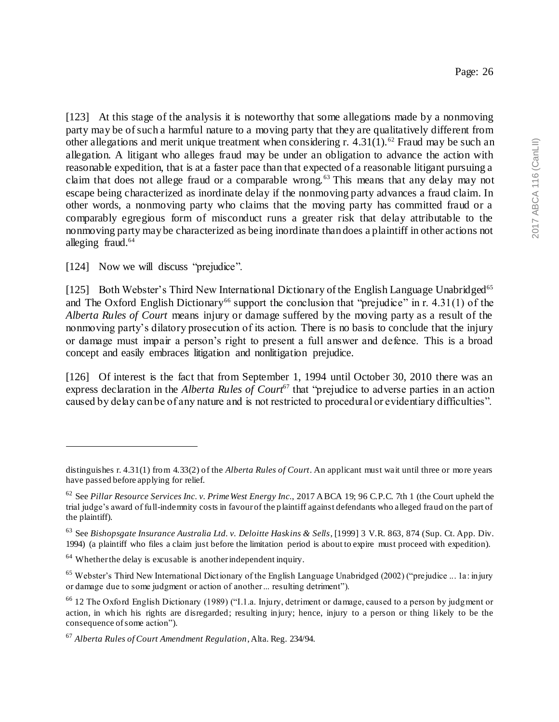Page: 26

[123] At this stage of the analysis it is noteworthy that some allegations made by a nonmoving party may be of such a harmful nature to a moving party that they are qualitatively different from other allegations and merit unique treatment when considering r.  $4.31(1)$ .<sup>62</sup> Fraud may be such an allegation. A litigant who alleges fraud may be under an obligation to advance the action with reasonable expedition, that is at a faster pace than that expected of a reasonable litigant pursuing a claim that does not allege fraud or a comparable wrong.<sup>63</sup> This means that any delay may not escape being characterized as inordinate delay if the nonmoving party advances a fraud claim. In other words, a nonmoving party who claims that the moving party has committed fraud or a comparably egregious form of misconduct runs a greater risk that delay attributable to the nonmoving party may be characterized as being inordinate than does a plaintiff in other actions not alleging fraud.<sup>64</sup>

[124] Now we will discuss "prejudice".

 $\overline{a}$ 

[125] Both Webster's Third New International Dictionary of the English Language Unabridged<sup>65</sup> and The Oxford English Dictionary<sup>66</sup> support the conclusion that "prejudice" in r.  $4.31(1)$  of the *Alberta Rules of Court* means injury or damage suffered by the moving party as a result of the nonmoving party's dilatory prosecution of its action. There is no basis to conclude that the injury or damage must impair a person's right to present a full answer and defence. This is a broad concept and easily embraces litigation and nonlitigation prejudice.

[126] Of interest is the fact that from September 1, 1994 until October 30, 2010 there was an express declaration in the *Alberta Rules of Court*<sup>67</sup> that "prejudice to adverse parties in an action caused by delay can be of any nature and is not restricted to procedural or evidentiary difficulties".

distinguishes r. 4.31(1) from 4.33(2) of the *Alberta Rules of Court*. An applicant must wait until three or more years have passed before applying for relief.

<sup>62</sup> See *Pillar Resource Services Inc. v. PrimeWest Energy Inc.*, 2017 ABCA 19; 96 C.P.C. 7th 1 (the Court upheld the trial judge's award of full-indemnity costs in favour of the plaintiff against defendants who alleged fraud on the part of the plaintiff).

<sup>63</sup> See *Bishopsgate Insurance Australia Ltd. v. Deloitte Haskins & Sells*, [1999] 3 V.R. 863, 874 (Sup. Ct. App. Div. 1994) (a plaintiff who files a claim just before the limitation period is about to expire must proceed with expedition).

 $64$  Whether the delay is excusable is another independent inquiry.

<sup>&</sup>lt;sup>65</sup> Webster's Third New International Dictionary of the English Language Unabridged (2002) ("prejudice ... 1a: injury or damage due to some judgment or action of another ... resulting detriment").

<sup>66</sup> 12 The Oxford English Dictionary (1989) ("I.1.a. Injury, detriment or damage, caused to a person by judgment or action, in which his rights are disregarded; resulting injury; hence, injury to a person or thing likely to be the consequence of some action").

<sup>67</sup> *Alberta Rules of Court Amendment Regulation*, Alta. Reg. 234/94.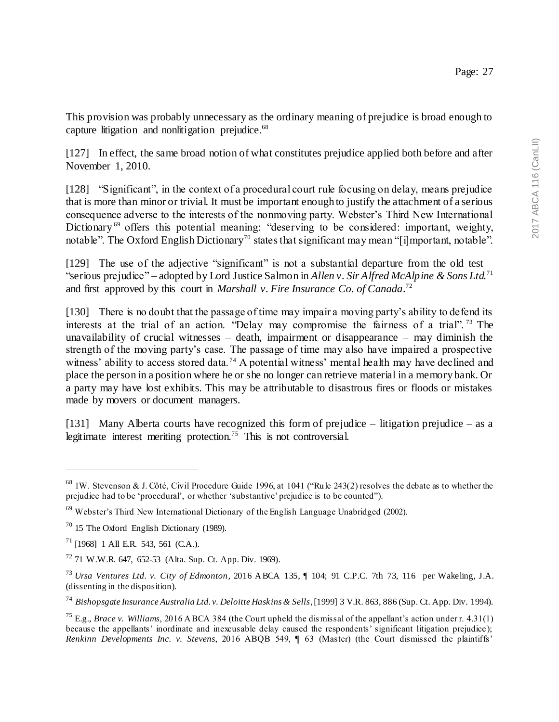This provision was probably unnecessary as the ordinary meaning of prejudice is broad enough to capture litigation and nonlitigation prejudice.<sup>68</sup>

[127] In effect, the same broad notion of what constitutes prejudice applied both before and after November 1, 2010.

[128] "Significant", in the context of a procedural court rule focusing on delay, means prejudice that is more than minor or trivial. It must be important enough to justify the attachment of a serious consequence adverse to the interests of the nonmoving party. Webster's Third New International Dictionary<sup>69</sup> offers this potential meaning: "deserving to be considered: important, weighty, notable". The Oxford English Dictionary<sup>70</sup> states that significant may mean "[i]mportant, notable".

[129] The use of the adjective "significant" is not a substantial departure from the old test – "serious prejudice" – adopted by Lord Justice Salmon in *Allen v. Sir Alfred McAlpine & Sons Ltd.*<sup>71</sup> and first approved by this court in *Marshall v. Fire Insurance Co. of Canada*.<sup>72</sup>

[130] There is no doubt that the passage of time may impair a moving party's ability to defend its interests at the trial of an action. "Delay may compromise the fairness of a trial". <sup>73</sup> The unavailability of crucial witnesses – death, impairment or disappearance – may diminish the strength of the moving party's case. The passage of time may also have impaired a prospective witness' ability to access stored data.<sup>74</sup> A potential witness' mental health may have declined and place the person in a position where he or she no longer can retrieve material in a memory bank. Or a party may have lost exhibits. This may be attributable to disastrous fires or floods or mistakes made by movers or document managers.

[131] Many Alberta courts have recognized this form of prejudice – litigation prejudice – as a legitimate interest meriting protection.<sup>75</sup> This is not controversial.

 $\overline{a}$ 

<sup>74</sup> *Bishopsgate Insurance Australia Ltd. v. Deloitte Haskins & Sells*, [1999] 3 V.R. 863, 886 (Sup. Ct. App. Div. 1994).

 $68$  1W. Stevenson & J. Côté, Civil Procedure Guide 1996, at 1041 ("Rule 243(2) resolves the debate as to whether the prejudice had to be 'procedural', or whether 'substantive' prejudice is to be counted").

<sup>69</sup> Webster's Third New International Dictionary of the English Language Unabridged (2002).

<sup>70</sup> 15 The Oxford English Dictionary (1989).

 $^{71}$  [1968] 1 All E.R. 543, 561 (C.A.).

<sup>72</sup> 71 W.W.R. 647, 652-53 (Alta. Sup. Ct. App. Div. 1969).

<sup>73</sup> *Ursa Ventures Ltd. v. City of Edmonton*, 2016 ABCA 135, ¶ 104; 91 C.P.C. 7th 73, 116 per Wakeling, J.A. (dissenting in the disposition).

<sup>75</sup> E.g., *Brace v. Williams*, 2016 ABCA 384 (the Court upheld the dis missal of the appellant's action under r. 4.31(1) because the appellants' inordinate and inexcusable delay caused the respondents' significant litigation prejudice); *Renkinn Developments Inc. v. Stevens*, 2016 ABQB 549, ¶ 63 (Master) (the Court dismissed the plaintiffs'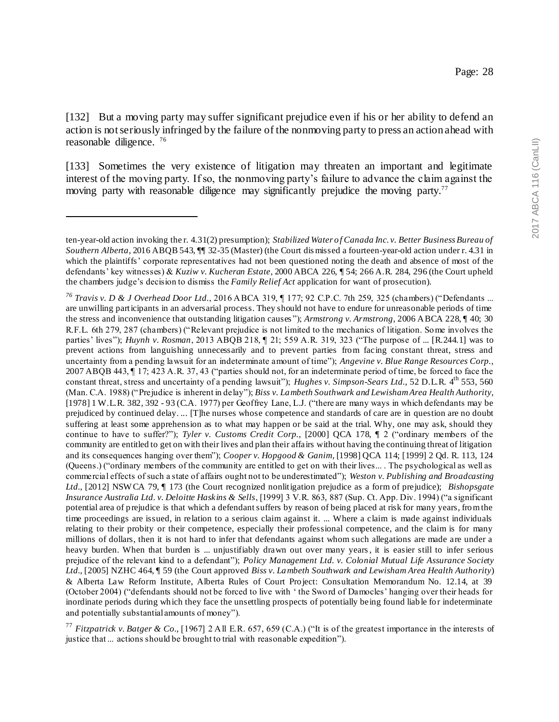[132] But a moving party may suffer significant prejudice even if his or her ability to defend an action is not seriously infringed by the failure of the nonmoving party to press an action ahead with reasonable diligence.<sup>76</sup>

[133] Sometimes the very existence of litigation may threaten an important and legitimate interest of the moving party. If so, the nonmoving party's failure to advance the claim against the moving party with reasonable diligence may significantly prejudice the moving party.<sup>77</sup>

l

ten-year-old action invoking the r. 4.31(2) presumption); *Stabilized Water of Canada Inc. v. Better Business Bureau of Southern Alberta*, 2016 ABQB 543, ¶¶ 32-35 (Master) (the Court dis missed a fourteen-year-old action under r. 4.31 in which the plaintiffs' corporate representatives had not been questioned noting the death and absence of most of the defendants' key witnesses) & *Kuziw v. Kucheran Estate*, 2000 ABCA 226, ¶ 54; 266 A.R. 284, 296 (the Court upheld the chambers judge's decision to dismiss the *Family Relief Act* application for want of prosecution).

*<sup>76</sup> Travis v. D & J Overhead Door Ltd.*, 2016 ABCA 319, ¶ 177; 92 C.P.C. 7th 259, 325 (chambers) ("Defendants ... are unwilling participants in an adversarial process. They should not have to endure for unreasonable periods of time the stress and inconvenience that outstanding litigation causes "); *Armstrong v. Armstrong,* 2006 ABCA 228, ¶ 40; 30 R.F.L. 6th 279, 287 (chambers) ("Relevant prejudice is not limited to the mechanics of litigation. Some involves the parties' lives"); *Huynh v. Rosman*, 2013 ABQB 218, ¶ 21; 559 A.R. 319, 323 ("The purpose of ... [R.244.1] was to prevent actions from languishing unnecessarily and to prevent parties from facing constant threat, stress and uncertainty from a pending lawsuit for an indeterminate amount of time"); *Angevine v. Blue Range Resources Corp.*, 2007 ABQB 443, ¶ 17; 423 A.R. 37, 43 ("parties should not, for an indeterminate period of time, be forced to face the constant threat, stress and uncertainty of a pending lawsuit"); *Hughes v. Simpson-Sears Ltd.*, 52 D.L.R. 4th 553, 560 (Man. C.A. 1988) ("Prejudice is inherent in delay"); *Biss v. Lambeth Southwark and Lewisham Area Health Authority,*  [1978] 1 W.L.R. 382, 392 - 93 (C.A. 1977) per Geoffrey Lane, L.J. ("there are many ways in which defendants may be prejudiced by continued delay. ... [T]he nurses whose competence and standards of care are in question are no doubt suffering at least some apprehension as to what may happen or be said at the trial. Why, one may ask, should they continue to have to suffer?"); *Tyler v. Customs Credit Corp.*, [2000] QCA 178, ¶ 2 ("ordinary members of the community are entitled to get on with their lives and plan their affairs without having the continuing threat of litigation and its consequences hanging over them"); *Cooper v. Hopgood & Ganim*, [1998] QCA 114; [1999] 2 Qd. R. 113, 124 (Queens.) ("ordinary members of the community are entitled to get on with their lives... . The psychological as well as commercial effects of such a state of affairs ought not to be underestimated"); *Weston v. Publishing and Broadcasting Ltd.*, [2012] NSW CA 79, ¶ 173 (the Court recognized nonlitigation prejudice as a form of prejudice); *Bishopsgate Insurance Australia Ltd. v. Deloitte Haskins & Sells*, [1999] 3 V.R. 863, 887 (Sup. Ct. App. Div. 1994) ("a significant potential area of prejudice is that which a defendant suffers by reason of being placed at risk for many years, from the time proceedings are issued, in relation to a serious claim against it. ... Where a claim is made against individuals relating to their probity or their competence, especially their professional competence, and the claim is for many millions of dollars, then it is not hard to infer that defendants against whom such allegations are made are under a heavy burden. When that burden is ... unjustifiably drawn out over many years, it is easier still to infer serious prejudice of the relevant kind to a defendant"); *Policy Management Ltd. v. Colonial Mutual Life Assurance Society Ltd.*, [2005] NZHC 464, ¶ 59 (the Court approved *Biss v. Lambeth Southwark and Lewisham Area Health Authority*) & Alberta Law Reform Institute, Alberta Rules of Court Project: Consultation Memorandum No. 12.14, at 39 (October 2004) ("defendants should not be forced to live with ' the Sword of Damocles' hanging over their heads for inordinate periods during which they face the unsettling prospects of potentially being found liable for indeterminate and potentially substantial amounts of money").

<sup>77</sup> *Fitzpatrick v. Batger & Co.,* [1967] 2 All E.R. 657, 659 (C.A.) ("It is of the greatest importance in the interests of justice that ... actions should be brought to trial with reasonable expedition").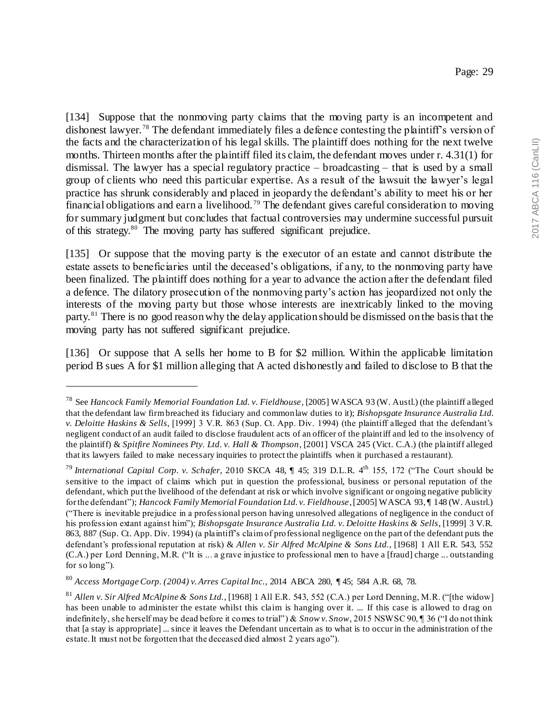[134] Suppose that the nonmoving party claims that the moving party is an incompetent and dishonest lawyer. <sup>78</sup> The defendant immediately files a defence contesting the plaintiff's version of the facts and the characterization of his legal skills. The plaintiff does nothing for the next twelve months. Thirteen months after the plaintiff filed its claim, the defendant moves under r. 4.31(1) for dismissal. The lawyer has a special regulatory practice – broadcasting – that is used by a small group of clients who need this particular expertise. As a result of the lawsuit the lawyer's legal practice has shrunk considerably and placed in jeopardy the defendant's ability to meet his or her financial obligations and earn a livelihood.<sup>79</sup> The defendant gives careful consideration to moving for summary judgment but concludes that factual controversies may undermine successful pursuit of this strategy.<sup>80</sup> The moving party has suffered significant prejudice.

[135] Or suppose that the moving party is the executor of an estate and cannot distribute the estate assets to beneficiaries until the deceased's obligations, if any, to the nonmoving party have been finalized. The plaintiff does nothing for a year to advance the action after the defendant filed a defence. The dilatory prosecution of the nonmoving party's action has jeopardized not only the interests of the moving party but those whose interests are inextricably linked to the moving party.<sup>81</sup> There is no good reason why the delay application should be dismissed on the basis that the moving party has not suffered significant prejudice.

[136] Or suppose that A sells her home to B for \$2 million. Within the applicable limitation period B sues A for \$1 million alleging that A acted dishonestly and failed to disclose to B that the

<sup>78</sup> See *Hancock Family Memorial Foundation Ltd. v. Fieldhouse*, [2005] WASCA 93 (W. Austl.) (the plaintiff alleged that the defendant law firm breached its fiduciary and commonlaw duties to it); *Bishopsgate Insurance Australia Ltd. v. Deloitte Haskins & Sells*, [1999] 3 V.R. 863 (Sup. Ct. App. Div. 1994) (the plaintiff alleged that the defendant's negligent conduct of an audit failed to disclose fraudulent acts of an officer of the plaintiff and led to the insolvency of the plaintiff) & *Spitfire Nominees Pty. Ltd. v. Hall & Thompson*, [2001] VSCA 245 (Vict. C.A.) (the plaintiff alleged that its lawyers failed to make necessary inquiries to protect the plaintiffs when it purchased a restaurant).

<sup>&</sup>lt;sup>79</sup> International Capital Corp. v. Schafer, 2010 SKCA 48, ¶ 45; 319 D.L.R. 4<sup>th</sup> 155, 172 ("The Court should be sensitive to the impact of claims which put in question the professional, business or personal reputation of the defendant, which put the livelihood of the defendant at risk or which involve significant or ongoing negative publicity for the defendant"); *Hancock Family Memorial Foundation Ltd. v. Fieldhouse*, [2005] WASCA 93, ¶ 148 (W. Austrl.) ("There is inevitable prejudice in a professional person having unresolved allegations of negligence in the conduct of his profession extant against him"); *Bishopsgate Insurance Australia Ltd. v. Deloitte Haskins & Sells*, [1999] 3 V.R. 863, 887 (Sup. Ct. App. Div. 1994) (a plaintiff's claim of professional negligence on the part of the defendant puts the defendant's professional reputation at risk) & *Allen v. Sir Alfred McAlpine & Sons Ltd.*, [1968] 1 All E.R. 543, 552 (C.A.) per Lord Denning, M.R. ("It is ... a grave injustice to professional men to have a [fraud] charge ... outstanding for so long").

<sup>80</sup> *Access Mortgage Corp. (2004) v. Arres Capital Inc.*, 2014 ABCA 280, ¶ 45; 584 A.R. 68, 78.

<sup>81</sup> *Allen v. Sir Alfred McAlpine & Sons Ltd.*, [1968] 1 All E.R. 543, 552 (C.A.) per Lord Denning, M.R. ("[the widow] has been unable to administer the estate whilst this claim is hanging over it. ... If this case is allowed to drag on indefinitely, she herself may be dead before it comes to trial") & *Snow v. Snow*, 2015 NSWSC 90, ¶ 36 ("I do not think that [a stay is appropriate] ... since it leaves the Defendant uncertain as to what is to occur in the administration of the estate. It must not be forgotten that the deceased died almost 2 years ago").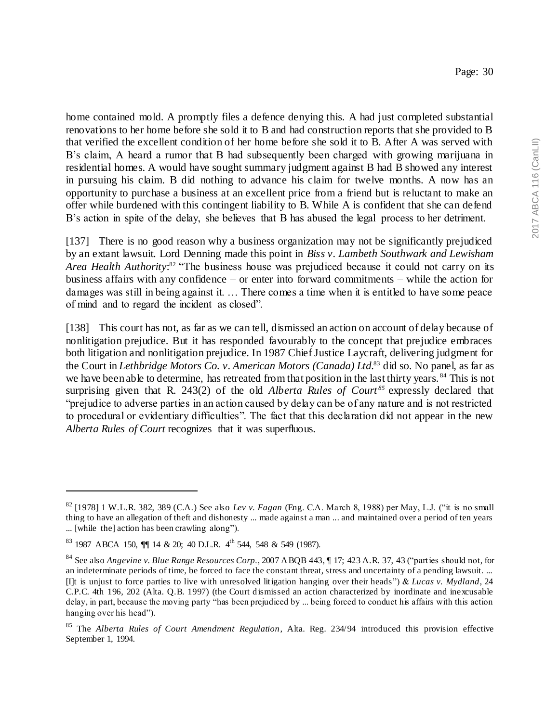home contained mold. A promptly files a defence denying this. A had just completed substantial renovations to her home before she sold it to B and had construction reports that she provided to B that verified the excellent condition of her home before she sold it to B. After A was served with B's claim, A heard a rumor that B had subsequently been charged with growing marijuana in residential homes. A would have sought summary judgment against B had B showed any interest in pursuing his claim. B did nothing to advance his claim for twelve months. A now has an opportunity to purchase a business at an excellent price from a friend but is reluctant to make an offer while burdened with this contingent liability to B. While A is confident that she can defend B's action in spite of the delay, she believes that B has abused the legal process to her detriment.

[137] There is no good reason why a business organization may not be significantly prejudiced by an extant lawsuit. Lord Denning made this point in *Biss v. Lambeth Southwark and Lewisham Area Health Authority*: <sup>82</sup> "The business house was prejudiced because it could not carry on its business affairs with any confidence – or enter into forward commitments – while the action for damages was still in being against it. … There comes a time when it is entitled to have some peace of mind and to regard the incident as closed".

[138] This court has not, as far as we can tell, dismissed an action on account of delay because of nonlitigation prejudice. But it has responded favourably to the concept that prejudice embraces both litigation and nonlitigation prejudice. In 1987 Chief Justice Laycraft, delivering judgment for the Court in *Lethbridge Motors Co. v. American Motors (Canada) Ltd.*<sup>83</sup> did so. No panel, as far as we have been able to determine, has retreated from that position in the last thirty years. <sup>84</sup> This is not surprising given that R. 243(2) of the old *Alberta Rules of Court<sup>85</sup>* expressly declared that "prejudice to adverse parties in an action caused by delay can be of any nature and is not restricted to procedural or evidentiary difficulties". The fact that this declaration did not appear in the new *Alberta Rules of Court* recognizes that it was superfluous.

<sup>82</sup> [1978] 1 W.L.R. 382, 389 (C.A.) See also *Lev v. Fagan* (Eng. C.A. March 8, 1988) per May, L.J. ("it is no small thing to have an allegation of theft and dishonesty ... made against a man ... and maintained over a period of ten years ... [while the] action has been crawling along").

<sup>83</sup> 1987 ABCA 150, ¶¶ 14 & 20; 40 D.L.R. 4th 544, 548 & 549 (1987).

<sup>84</sup> See also *Angevine v. Blue Range Resources Corp.*, 2007 ABQB 443, ¶ 17; 423 A.R. 37, 43 ("parties should not, for an indeterminate periods of time, be forced to face the constant threat, stress and uncertainty of a pending lawsuit. ... [I]t is unjust to force parties to live with unresolved litigation hanging over their heads") & *Lucas v. Mydland*, 24 C.P.C. 4th 196, 202 (Alta. Q.B. 1997) (the Court dismissed an action characterized by inordinate and inexcusable delay, in part, because the moving party "has been prejudiced by ... being forced to conduct his affairs with this action hanging over his head").

<sup>85</sup> The *Alberta Rules of Court Amendment Regulation*, Alta. Reg. 234/94 introduced this provision effective September 1, 1994.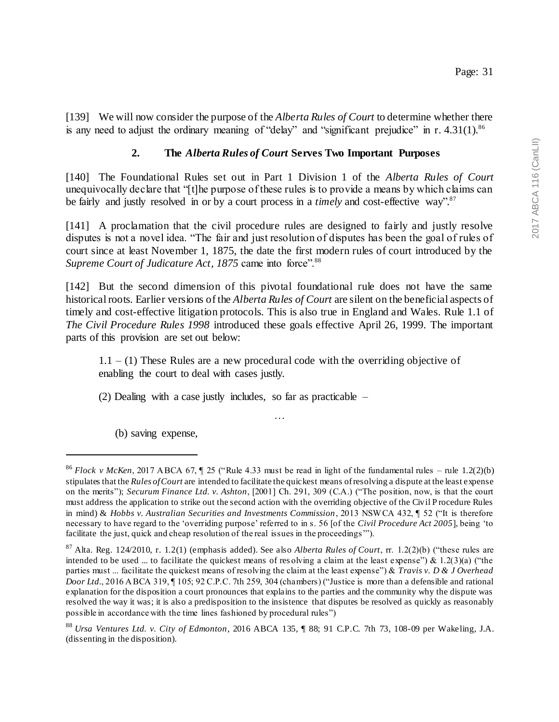[139] We will now consider the purpose of the *Alberta Rules of Court* to determine whether there is any need to adjust the ordinary meaning of "delay" and "significant prejudice" in r.  $4.31(1)$ .<sup>86</sup>

## **2. The** *Alberta Rules of Court* **Serves Two Important Purposes**

[140] The Foundational Rules set out in Part 1 Division 1 of the *Alberta Rules of Court* unequivocally declare that "[t]he purpose of these rules is to provide a means by which claims can be fairly and justly resolved in or by a court process in a *timely* and cost-effective way".<sup>87</sup>

[141] A proclamation that the civil procedure rules are designed to fairly and justly resolve disputes is not a novel idea. "The fair and just resolution of disputes has been the goal of rules of court since at least November 1, 1875, the date the first modern rules of court introduced by the *Supreme Court of Judicature Act, 1875 came into force*".<sup>88</sup>

[142] But the second dimension of this pivotal foundational rule does not have the same historical roots. Earlier versions of the *Alberta Rules of Court* are silent on the beneficial aspects of timely and cost-effective litigation protocols. This is also true in England and Wales. Rule 1.1 of *The Civil Procedure Rules 1998* introduced these goals effective April 26, 1999. The important parts of this provision are set out below:

 $1.1 - (1)$  These Rules are a new procedural code with the overriding objective of enabling the court to deal with cases justly.

…

(2) Dealing with a case justly includes, so far as practicable –

(b) saving expense,

<sup>&</sup>lt;sup>86</sup> *Flock v McKen*, 2017 ABCA 67,  $\parallel$  25 ("Rule 4.33 must be read in light of the fundamental rules – rule 1.2(2)(b) stipulates that the *Rules of Court* are intended to facilitate the quickest means of resolving a dispute at the least expense on the merits"); *Securum Finance Ltd. v. Ashton*, [2001] Ch. 291, 309 (C.A.) ("The position, now, is that the court must address the application to strike out the second action with the overriding objective of the Civil P rocedure Rules in mind) & *Hobbs v. Australian Securities and Investments Commission*, 2013 NSW CA 432, ¶ 52 ("It is therefore necessary to have regard to the 'overriding purpose' referred to in s. 56 [of the *Civil Procedure Act 2005*], being 'to facilitate the just, quick and cheap resolution of the real issues in the proceedings'").

<sup>&</sup>lt;sup>87</sup> Alta. Reg. 124/2010, r. 1.2(1) (emphasis added). See also *Alberta Rules of Court*, rr. 1.2(2)(b) ("these rules are intended to be used ... to facilitate the quickest means of resolving a claim at the least expense")  $\& 1.2(3)(a)$  ("the parties must ... facilitate the quickest means of resolving the claim at the least expense") & *Travis v. D & J Overhead Door Ltd.*, 2016 ABCA 319, ¶ 105; 92 C.P.C. 7th 259, 304 (chambers) ("Justice is more than a defensible and rational explanation for the disposition a court pronounces that explains to the parties and the community why the dispute was resolved the way it was; it is also a predisposition to the insistence that disputes be resolved as quickly as reasonably possible in accordance with the time lines fashioned by procedural rules")

<sup>88</sup> *Ursa Ventures Ltd. v. City of Edmonton*, 2016 ABCA 135, ¶ 88; 91 C.P.C. 7th 73, 108-09 per Wakeling, J.A. (dissenting in the disposition).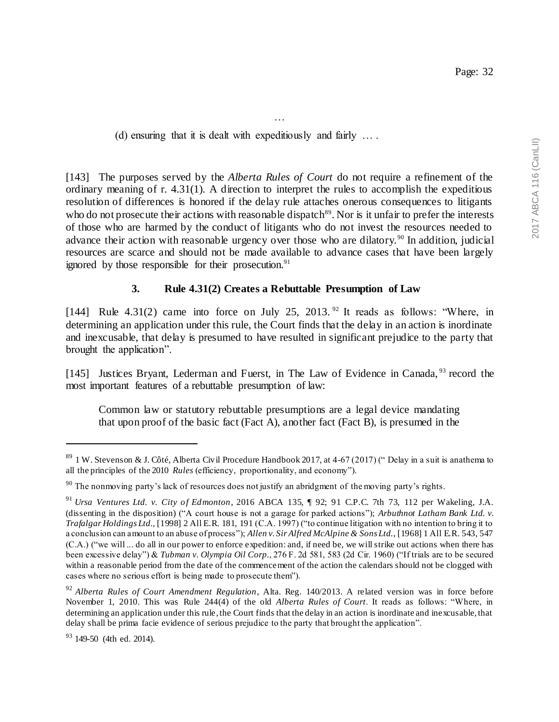(d) ensuring that it is dealt with expeditiously and fairly … .

[143] The purposes served by the *Alberta Rules of Court* do not require a refinement of the ordinary meaning of r. 4.31(1). A direction to interpret the rules to accomplish the expeditious resolution of differences is honored if the delay rule attaches onerous consequences to litigants who do not prosecute their actions with reasonable dispatch<sup>89</sup>. Nor is it unfair to prefer the interests of those who are harmed by the conduct of litigants who do not invest the resources needed to advance their action with reasonable urgency over those who are dilatory.<sup>90</sup> In addition, judicial resources are scarce and should not be made available to advance cases that have been largely ignored by those responsible for their prosecution.<sup>91</sup>

…

## **3. Rule 4.31(2) Creates a Rebuttable Presumption of Law**

[144] Rule 4.31(2) came into force on July 25, 2013. <sup>92</sup> It reads as follows: "Where, in determining an application under this rule, the Court finds that the delay in an action is inordinate and inexcusable, that delay is presumed to have resulted in significant prejudice to the party that brought the application".

[145] Justices Bryant, Lederman and Fuerst, in The Law of Evidence in Canada, <sup>93</sup> record the most important features of a rebuttable presumption of law:

Common law or statutory rebuttable presumptions are a legal device mandating that upon proof of the basic fact (Fact A), another fact (Fact B), is presumed in the

<sup>&</sup>lt;sup>89</sup> 1 W. Stevenson & J. Côté, Alberta Civil Procedure Handbook 2017, at 4-67 (2017) ("Delay in a suit is anathema to all the principles of the 2010 *Rules* (efficiency, proportionality, and economy").

<sup>&</sup>lt;sup>90</sup> The nonmoving party's lack of resources does not justify an abridgment of the moving party's rights.

<sup>91</sup> *Ursa Ventures Ltd. v. City of Edmonton*, 2016 ABCA 135, ¶ 92; 91 C.P.C. 7th 73, 112 per Wakeling, J.A. (dissenting in the disposition) ("A court house is not a garage for parked actions"); *Arbuthnot Latham Bank Ltd. v. Trafalgar Holdings Ltd.*, [1998] 2 All E.R. 181, 191 (C.A. 1997) ("to continue litigation with no intention to bring it to a conclusion can amount to an abuse of process"); *Allen v. Sir Alfred McAlpine & Sons Ltd.*, [1968] 1 All E.R. 543, 547 (C.A.) ("we will ... do all in our power to enforce expedition: and, if need be, we will strike out actions when there has been excessive delay") & *Tubman v. Olympia Oil Corp.*, 276 F. 2d 581, 583 (2d Cir. 1960) ("If trials are to be secured within a reasonable period from the date of the commencement of the action the calendars should not be clogged with cases where no serious effort is being made to prosecute them").

<sup>92</sup> *Alberta Rules of Court Amendment Regulation*, Alta. Reg. 140/2013. A related version was in force before November 1, 2010. This was Rule 244(4) of the old *Alberta Rules of Court*. It reads as follows: "Where, in determining an application under this rule, the Court finds that the delay in an action is inordinate and inexcusable, that delay shall be prima facie evidence of serious prejudice to the party that brought the application".

 $93$  149-50 (4th ed. 2014).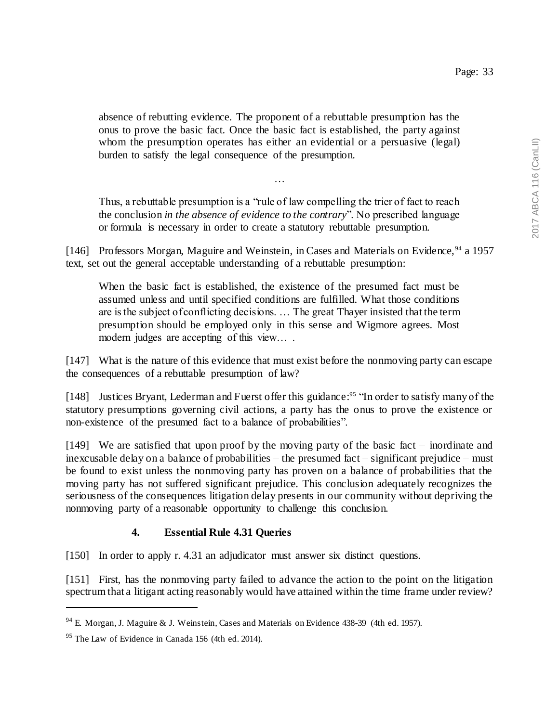absence of rebutting evidence. The proponent of a rebuttable presumption has the onus to prove the basic fact. Once the basic fact is established, the party against whom the presumption operates has either an evidential or a persuasive (legal) burden to satisfy the legal consequence of the presumption.

Thus, a rebuttable presumption is a "rule of law compelling the trier of fact to reach the conclusion *in the absence of evidence to the contrary*". No prescribed language or formula is necessary in order to create a statutory rebuttable presumption.

…

[146] Professors Morgan, Maguire and Weinstein, in Cases and Materials on Evidence, <sup>94</sup> a 1957 text, set out the general acceptable understanding of a rebuttable presumption:

When the basic fact is established, the existence of the presumed fact must be assumed unless and until specified conditions are fulfilled. What those conditions are is the subject of conflicting decisions. … The great Thayer insisted that the term presumption should be employed only in this sense and Wigmore agrees. Most modern judges are accepting of this view....

[147] What is the nature of this evidence that must exist before the nonmoving party can escape the consequences of a rebuttable presumption of law?

[148] Justices Bryant, Lederman and Fuerst offer this guidance:<sup>95</sup> "In order to satisfy many of the statutory presumptions governing civil actions, a party has the onus to prove the existence or non-existence of the presumed fact to a balance of probabilities".

[149] We are satisfied that upon proof by the moving party of the basic fact – inordinate and inexcusable delay on a balance of probabilities – the presumed fact – significant prejudice – must be found to exist unless the nonmoving party has proven on a balance of probabilities that the moving party has not suffered significant prejudice. This conclusion adequately recognizes the seriousness of the consequences litigation delay presents in our community without depriving the nonmoving party of a reasonable opportunity to challenge this conclusion.

## **4. Essential Rule 4.31 Queries**

[150] In order to apply r. 4.31 an adjudicator must answer six distinct questions.

[151] First, has the nonmoving party failed to advance the action to the point on the litigation spectrum that a litigant acting reasonably would have attained within the time frame under review?

l

<sup>94</sup> E. Morgan, J. Maguire & J. Weinstein, Cases and Materials on Evidence 438-39 (4th ed. 1957).

<sup>&</sup>lt;sup>95</sup> The Law of Evidence in Canada 156 (4th ed. 2014).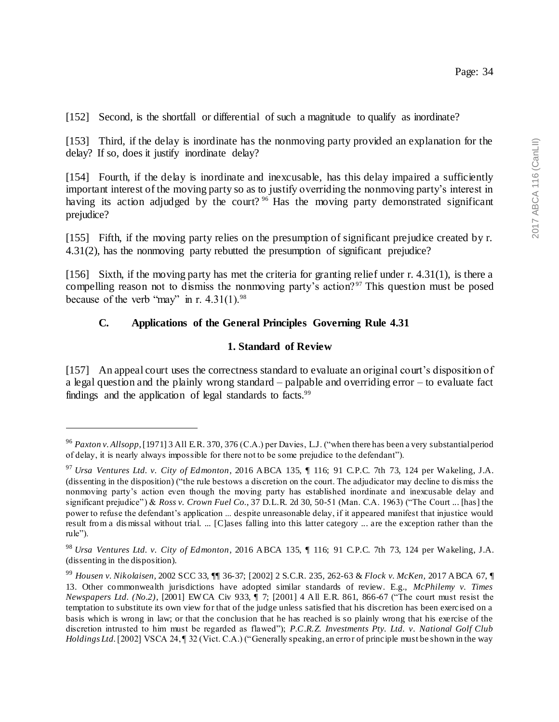[152] Second, is the shortfall or differential of such a magnitude to qualify as inordinate?

[153] Third, if the delay is inordinate has the nonmoving party provided an explanation for the delay? If so, does it justify inordinate delay?

[154] Fourth, if the delay is inordinate and inexcusable, has this delay impaired a sufficiently important interest of the moving party so as to justify overriding the nonmoving party's interest in having its action adjudged by the court?<sup>96</sup> Has the moving party demonstrated significant prejudice?

[155] Fifth, if the moving party relies on the presumption of significant prejudice created by r. 4.31(2), has the nonmoving party rebutted the presumption of significant prejudice?

[156] Sixth, if the moving party has met the criteria for granting relief under r. 4.31(1), is there a compelling reason not to dismiss the nonmoving party's action?<sup>97</sup> This question must be posed because of the verb "may" in r.  $4.31(1).$ <sup>98</sup>

## **C. Applications of the General Principles Governing Rule 4.31**

 $\overline{a}$ 

#### **1. Standard of Review**

[157] An appeal court uses the correctness standard to evaluate an original court's disposition of a legal question and the plainly wrong standard – palpable and overriding error – to evaluate fact findings and the application of legal standards to facts.<sup>99</sup>

<sup>96</sup> *Paxton v. Allsopp*, [1971] 3 All E.R. 370, 376 (C.A.) per Davies, L.J. ("when there has been a very substantial period of delay, it is nearly always impossible for there not to be some prejudice to the defendant").

<sup>97</sup> *Ursa Ventures Ltd. v. City of Edmonton*, 2016 ABCA 135, ¶ 116; 91 C.P.C. 7th 73, 124 per Wakeling, J.A. (dissenting in the disposition) ("the rule bestows a discretion on the court. The adjudicator may decline to dis miss the nonmoving party's action even though the moving party has established inordinate and inexcusable delay and significant prejudice") & *Ross v. Crown Fuel Co.*, 37 D.L.R. 2d 30, 50-51 (Man. C.A. 1963) ("The Court ... [has] the power to refuse the defendant's application ... despite unreasonable delay, if it appeared manifest that injustice would result from a dis missal without trial. ... [C]ases falling into this latter category ... are the exception rather than the rule").

<sup>98</sup> *Ursa Ventures Ltd. v. City of Edmonton*, 2016 ABCA 135, ¶ 116; 91 C.P.C. 7th 73, 124 per Wakeling, J.A. (dissenting in the disposition).

<sup>99</sup> *Housen v. Nikolaisen,* 2002 SCC 33, ¶¶ 36-37; [2002] 2 S.C.R. 235, 262-63 & *Flock v. McKen,* 2017 ABCA 67, ¶ 13. Other commonwealth jurisdictions have adopted similar standards of review. E.g., *McPhilemy v. Times Newspapers Ltd. (No.2)*, [2001] EW CA Civ 933, ¶ 7; [2001] 4 All E.R. 861, 866-67 ("The court must resist the temptation to substitute its own view for that of the judge unless satisfied that his discretion has been exercised on a basis which is wrong in law; or that the conclusion that he has reached is so plainly wrong that his exercise of the discretion intrusted to him must be regarded as flawed"); *P.C.R.Z. Investments Pty. Ltd. v. National Golf Club Holdings Ltd.* [2002] VSCA 24, ¶ 32 (Vict. C.A.) ("Generally speaking, an error of principle must be shown in the way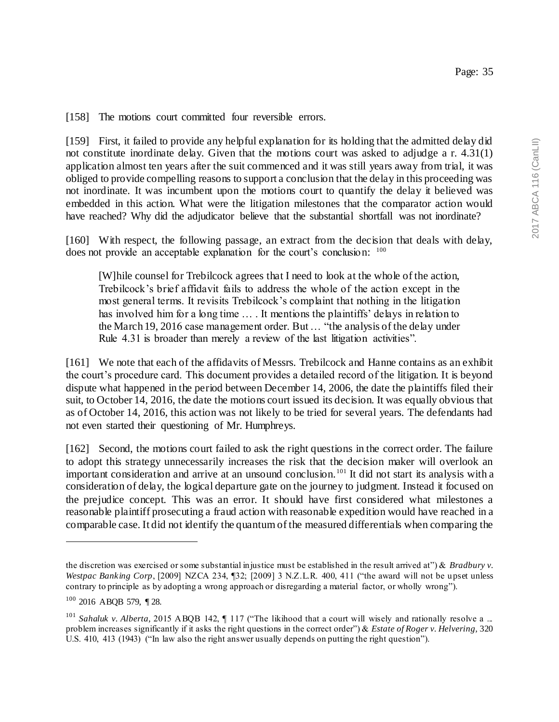2017 ABCA 116 (CanLII) 2017 ABCA 116 (CanLII)

[158] The motions court committed four reversible errors.

[159] First, it failed to provide any helpful explanation for its holding that the admitted delay did not constitute inordinate delay. Given that the motions court was asked to adjudge a r. 4.31(1) application almost ten years after the suit commenced and it was still years away from trial, it was obliged to provide compelling reasons to support a conclusion that the delay in this proceeding was not inordinate. It was incumbent upon the motions court to quantify the delay it believed was embedded in this action. What were the litigation milestones that the comparator action would have reached? Why did the adjudicator believe that the substantial shortfall was not inordinate?

[160] With respect, the following passage, an extract from the decision that deals with delay, does not provide an acceptable explanation for the court's conclusion:  $100$ 

[W]hile counsel for Trebilcock agrees that I need to look at the whole of the action, Trebilcock's brief affidavit fails to address the whole of the action except in the most general terms. It revisits Trebilcock's complaint that nothing in the litigation has involved him for a long time ... It mentions the plaintiffs' delays in relation to the March 19, 2016 case management order. But … "the analysis of the delay under Rule 4.31 is broader than merely a review of the last litigation activities".

[161] We note that each of the affidavits of Messrs. Trebilcock and Hanne contains as an exhibit the court's procedure card. This document provides a detailed record of the litigation. It is beyond dispute what happened in the period between December 14, 2006, the date the plaintiffs filed their suit, to October 14, 2016, the date the motions court issued its decision. It was equally obvious that as of October 14, 2016, this action was not likely to be tried for several years. The defendants had not even started their questioning of Mr. Humphreys.

[162] Second, the motions court failed to ask the right questions in the correct order. The failure to adopt this strategy unnecessarily increases the risk that the decision maker will overlook an important consideration and arrive at an unsound conclusion. <sup>101</sup> It did not start its analysis with a consideration of delay, the logical departure gate on the journey to judgment. Instead it focused on the prejudice concept. This was an error. It should have first considered what milestones a reasonable plaintiff prosecuting a fraud action with reasonable expedition would have reached in a comparable case. It did not identify the quantum of the measured differentials when comparing the

the discretion was exercised or some substantial injustice must be established in the result arrived at") & *Bradbury v. Westpac Banking Corp*, [2009] NZCA 234, ¶32; [2009] 3 N.Z.L.R. 400, 411 ("the award will not be upset unless contrary to principle as by adopting a wrong approach or disregarding a material factor, or wholly wrong").

 $100$  2016 ABQB 579, ¶ 28.

<sup>&</sup>lt;sup>101</sup> Sahaluk v. Alberta, 2015 ABQB 142, ¶ 117 ("The likihood that a court will wisely and rationally resolve a ... problem increases significantly if it asks the right questions in the correct order") & *Estate of Roger v. Helvering,* 320 U.S. 410, 413 (1943) ("In law also the right answer usually depends on putting the right question").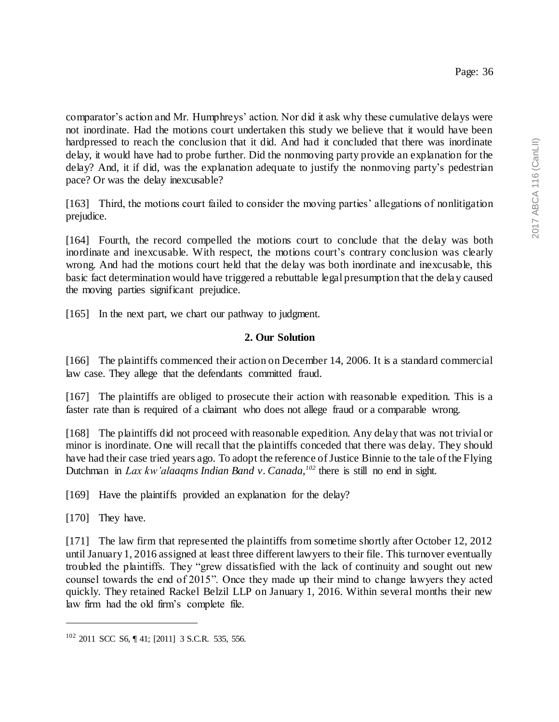comparator's action and Mr. Humphreys' action. Nor did it ask why these cumulative delays were not inordinate. Had the motions court undertaken this study we believe that it would have been hardpressed to reach the conclusion that it did. And had it concluded that there was inordinate delay, it would have had to probe further. Did the nonmoving party provide an explanation for the delay? And, it if did, was the explanation adequate to justify the nonmoving party's pedestrian pace? Or was the delay inexcusable?

[163] Third, the motions court failed to consider the moving parties' allegations of nonlitigation prejudice.

[164] Fourth, the record compelled the motions court to conclude that the delay was both inordinate and inexcusable. With respect, the motions court's contrary conclusion was clearly wrong. And had the motions court held that the delay was both inordinate and inexcusable, this basic fact determination would have triggered a rebuttable legal presumption that the delay caused the moving parties significant prejudice.

[165] In the next part, we chart our pathway to judgment.

## **2. Our Solution**

[166] The plaintiffs commenced their action on December 14, 2006. It is a standard commercial law case. They allege that the defendants committed fraud.

[167] The plaintiffs are obliged to prosecute their action with reasonable expedition. This is a faster rate than is required of a claimant who does not allege fraud or a comparable wrong.

[168] The plaintiffs did not proceed with reasonable expedition. Any delay that was not trivial or minor is inordinate. One will recall that the plaintiffs conceded that there was delay. They should have had their case tried years ago. To adopt the reference of Justice Binnie to the tale of the Flying Dutchman in *Lax kw'alaaqms Indian Band v. Canada,<sup>102</sup>* there is still no end in sight.

[169] Have the plaintiffs provided an explanation for the delay?

[170] They have.

l

[171] The law firm that represented the plaintiffs from sometime shortly after October 12, 2012 until January 1, 2016 assigned at least three different lawyers to their file. This turnover eventually troubled the plaintiffs. They "grew dissatisfied with the lack of continuity and sought out new counsel towards the end of 2015". Once they made up their mind to change lawyers they acted quickly. They retained Rackel Belzil LLP on January 1, 2016. Within several months their new law firm had the old firm's complete file.

<sup>102</sup> 2011 SCC S6, ¶ 41; [2011] 3 S.C.R. 535, 556.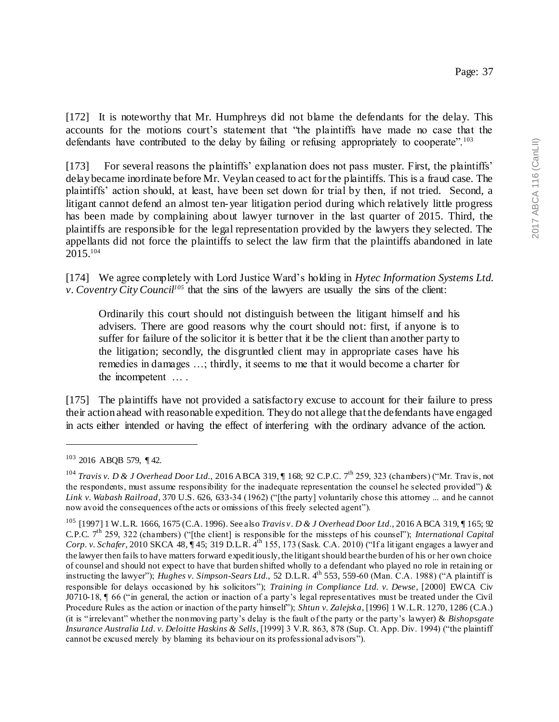[172] It is noteworthy that Mr. Humphreys did not blame the defendants for the delay. This accounts for the motions court's statement that "the plaintiffs have made no case that the defendants have contributed to the delay by failing or refusing appropriately to cooperate".<sup>103</sup>

[173] For several reasons the plaintiffs' explanation does not pass muster. First, the plaintiffs' delay became inordinate before Mr. Veylan ceased to act for the plaintiffs. This is a fraud case. The plaintiffs' action should, at least, have been set down for trial by then, if not tried. Second, a litigant cannot defend an almost ten-year litigation period during which relatively little progress has been made by complaining about lawyer turnover in the last quarter of 2015. Third, the plaintiffs are responsible for the legal representation provided by the lawyers they selected. The appellants did not force the plaintiffs to select the law firm that the plaintiffs abandoned in late 2015. 104

[174] We agree completely with Lord Justice Ward's holding in *Hytec Information Systems Ltd. v. Coventry City Council<sup>105</sup>* that the sins of the lawyers are usually the sins of the client:

Ordinarily this court should not distinguish between the litigant himself and his advisers. There are good reasons why the court should not: first, if anyone is to suffer for failure of the solicitor it is better that it be the client than another party to the litigation; secondly, the disgruntled client may in appropriate cases have his remedies in damages …; thirdly, it seems to me that it would become a charter for the incompetent … .

[175] The plaintiffs have not provided a satisfactory excuse to account for their failure to press their action ahead with reasonable expedition. They do not allege that the defendants have engaged in acts either intended or having the effect of interfering with the ordinary advance of the action.

<sup>103</sup> 2016 ABQB 579, ¶ 42.

<sup>104</sup> *Travis v. D & J Overhead Door Ltd.*, 2016 ABCA 319, ¶ 168; 92 C.P.C. 7th 259, 323 (chambers) ("Mr. Travis, not the respondents, must assume responsibility for the inadequate representation the counsel he selected provided")  $\&$ *Link v. Wabash Railroad*, 370 U.S. 626, 633-34 (1962) ("[the party] voluntarily chose this attorney ... and he cannot now avoid the consequences of the acts or omissions of this freely selected agent").

<sup>105</sup> [1997] 1 W.L.R. 1666, 1675 (C.A. 1996). See also *Travis v. D & J Overhead Door Ltd.*, 2016 ABCA 319, ¶ 165; 92 C.P.C. 7th 259, 322 (chambers) ("[the client] is responsible for the missteps of his counsel"); *International Capital Corp. v. Schafer*, 2010 SKCA 48, ¶ 45; 319 D.L.R. 4th 155, 173 (Sask. C.A. 2010) ("If a litigant engages a lawyer and the lawyer then fails to have matters forward expeditiously, the litigant should bear the burden of his or her own choice of counsel and should not expect to have that burden shifted wholly to a defendant who played no role in retaining or instructing the lawyer"); *Hughes v. Simpson-Sears Ltd.*, 52 D.L.R. 4<sup>th</sup> 553, 559-60 (Man. C.A. 1988) ("A plaintiff is responsible for delays occasioned by his solicitors"); *Training in Compliance Ltd. v. Dewse*, [2000] EWCA Civ J0710-18, ¶ 66 ("in general, the action or inaction of a party's legal representatives must be treated under the Civil Procedure Rules as the action or inaction of the party himself"); *Shtun v. Zalejska*, [1996] 1 W.L.R. 1270, 1286 (C.A.) (it is "irrelevant" whether the nonmoving party's delay is the fault of the party or the party's lawyer) & *Bishopsgate Insurance Australia Ltd. v. Deloitte Haskins & Sells*, [1999] 3 V.R. 863, 878 (Sup. Ct. App. Div. 1994) ("the plaintiff cannot be excused merely by blaming its behaviour on its professional advisors").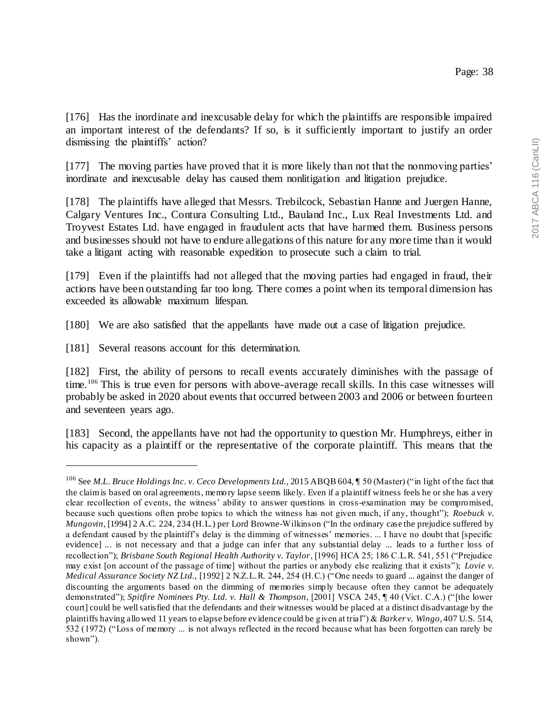[176] Has the inordinate and inexcusable delay for which the plaintiffs are responsible impaired an important interest of the defendants? If so, is it sufficiently important to justify an order dismissing the plaintiffs' action?

[177] The moving parties have proved that it is more likely than not that the nonmoving parties' inordinate and inexcusable delay has caused them nonlitigation and litigation prejudice.

[178] The plaintiffs have alleged that Messrs. Trebilcock, Sebastian Hanne and Juergen Hanne, Calgary Ventures Inc., Contura Consulting Ltd., Bauland Inc., Lux Real Investments Ltd. and Troyvest Estates Ltd. have engaged in fraudulent acts that have harmed them. Business persons and businesses should not have to endure allegations of this nature for any more time than it would take a litigant acting with reasonable expedition to prosecute such a claim to trial.

[179] Even if the plaintiffs had not alleged that the moving parties had engaged in fraud, their actions have been outstanding far too long. There comes a point when its temporal dimension has exceeded its allowable maximum lifespan.

[180] We are also satisfied that the appellants have made out a case of litigation prejudice.

[181] Several reasons account for this determination.

 $\overline{a}$ 

[182] First, the ability of persons to recall events accurately diminishes with the passage of time.<sup>106</sup> This is true even for persons with above-average recall skills. In this case witnesses will probably be asked in 2020 about events that occurred between 2003 and 2006 or between fourteen and seventeen years ago.

[183] Second, the appellants have not had the opportunity to question Mr. Humphreys, either in his capacity as a plaintiff or the representative of the corporate plaintiff. This means that the

<sup>106</sup> See *M.L. Bruce Holdings Inc. v. Ceco Developments Ltd.*, 2015 ABQB 604, ¶ 50 (Master) ("in light of the fact that the claim is based on oral agreements, memory lapse seems likely. Even if a plaintiff witness feels he or she has a very clear recollection of events, the witness' ability to answer questions in cross-examination may be compromised, because such questions often probe topics to which the witness has not given much, if any, thought"); *Roebuck v. Mungovin*, [1994] 2 A.C. 224, 234 (H.L.) per Lord Browne-Wilkinson ("In the ordinary case the prejudice suffered by a defendant caused by the plaintiff's delay is the dimming of witnesses' memories. ... I have no doubt that [specific evidence] ... is not necessary and that a judge can infer that any substantial delay ... leads to a further loss of recollection"); *Brisbane South Regional Health Authority v. Taylor*, [1996] HCA 25; 186 C.L.R. 541, 551 ("Prejudice may exist [on account of the passage of time] without the parties or anybody else realizing that it exists"); *Lovie v. Medical Assurance Society NZ Ltd.*, [1992] 2 N.Z.L.R. 244, 254 (H.C.) ("One needs to guard ... against the danger of discounting the arguments based on the dimming of memories simply because often they cannot be adequately demonstrated"); *Spitfire Nominees Pty. Ltd. v. Hall & Thompson*, [2001] VSCA 245, ¶ 40 (Vict. C.A.) ("[the lower court] could be well satisfied that the defendants and their witnesses would be placed at a distinct disadvantage by the plaintiffs having allowed 11 years to elapse before evidence could be given at trial") & *Barker v. Wingo*, 407 U.S. 514, 532 (1972) ("Loss of memory ... is not always reflected in the record because what has been forgotten can rarely be shown").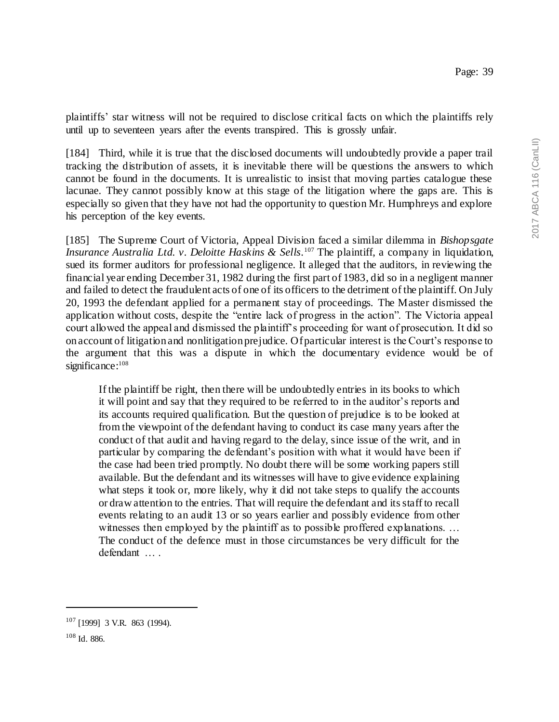plaintiffs' star witness will not be required to disclose critical facts on which the plaintiffs rely until up to seventeen years after the events transpired. This is grossly unfair.

[184] Third, while it is true that the disclosed documents will undoubtedly provide a paper trail tracking the distribution of assets, it is inevitable there will be questions the answers to which cannot be found in the documents. It is unrealistic to insist that moving parties catalogue these lacunae. They cannot possibly know at this stage of the litigation where the gaps are. This is especially so given that they have not had the opportunity to question Mr. Humphreys and explore his perception of the key events.

[185] The Supreme Court of Victoria, Appeal Division faced a similar dilemma in *Bishopsgate Insurance Australia Ltd. v. Deloitte Haskins & Sells*. <sup>107</sup> The plaintiff, a company in liquidation, sued its former auditors for professional negligence. It alleged that the auditors, in reviewing the financial year ending December 31, 1982 during the first part of 1983, did so in a negligent manner and failed to detect the fraudulent acts of one of its officers to the detriment of the plaintiff. On July 20, 1993 the defendant applied for a permanent stay of proceedings. The Master dismissed the application without costs, despite the "entire lack of progress in the action". The Victoria appeal court allowed the appeal and dismissed the plaintiff's proceeding for want of prosecution. It did so on account of litigation and nonlitigation prejudice. Of particular interest is the Court's response to the argument that this was a dispute in which the documentary evidence would be of significance:<sup>108</sup>

If the plaintiff be right, then there will be undoubtedly entries in its books to which it will point and say that they required to be referred to in the auditor's reports and its accounts required qualification. But the question of prejudice is to be looked at from the viewpoint of the defendant having to conduct its case many years after the conduct of that audit and having regard to the delay, since issue of the writ, and in particular by comparing the defendant's position with what it would have been if the case had been tried promptly. No doubt there will be some working papers still available. But the defendant and its witnesses will have to give evidence explaining what steps it took or, more likely, why it did not take steps to qualify the accounts or draw attention to the entries. That will require the defendant and its staff to recall events relating to an audit 13 or so years earlier and possibly evidence from other witnesses then employed by the plaintiff as to possible proffered explanations. ... The conduct of the defence must in those circumstances be very difficult for the defendant … .

l

<sup>107</sup> [1999] 3 V.R. 863 (1994).

 $108$  Id. 886.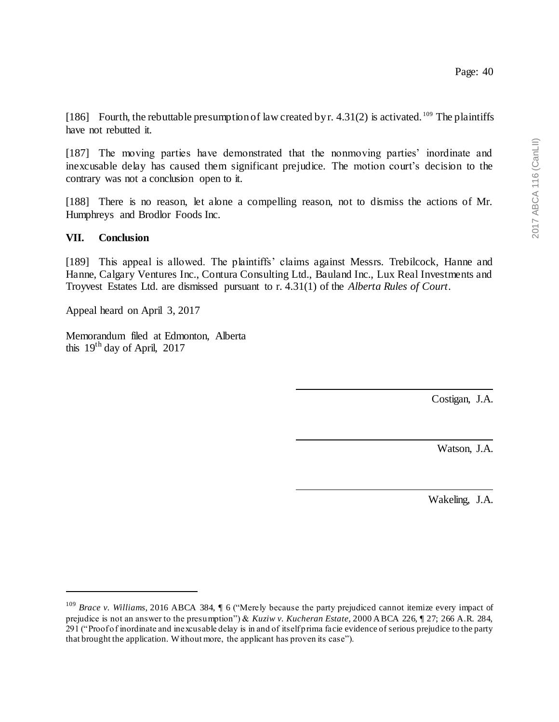[186] Fourth, the rebuttable presumption of law created by r. 4.31(2) is activated. <sup>109</sup> The plaintiffs have not rebutted it.

[187] The moving parties have demonstrated that the nonmoving parties' inordinate and inexcusable delay has caused them significant prejudice. The motion court's decision to the contrary was not a conclusion open to it.

[188] There is no reason, let alone a compelling reason, not to dismiss the actions of Mr. Humphreys and Brodlor Foods Inc.

#### **VII. Conclusion**

l

[189] This appeal is allowed. The plaintiffs' claims against Messrs. Trebilcock, Hanne and Hanne, Calgary Ventures Inc., Contura Consulting Ltd., Bauland Inc., Lux Real Investments and Troyvest Estates Ltd. are dismissed pursuant to r. 4.31(1) of the *Alberta Rules of Court*.

Appeal heard on April 3, 2017

Memorandum filed at Edmonton, Alberta this  $19<sup>th</sup>$  day of April, 2017

Costigan, J.A.

Watson, J.A.

Wakeling, J.A.

<sup>109</sup> *Brace v. Williams*, 2016 ABCA 384, ¶ 6 ("Merely because the party prejudiced cannot itemize every impact of prejudice is not an answer to the presumption") & *Kuziw v. Kucheran Estate,* 2000 ABCA 226, ¶ 27; 266 A.R. 284, 291 ("Proof of inordinate and inexcusable delay is in and of itself prima facie evidence of serious prejudice to the party that brought the application. Without more, the applicant has proven its case").